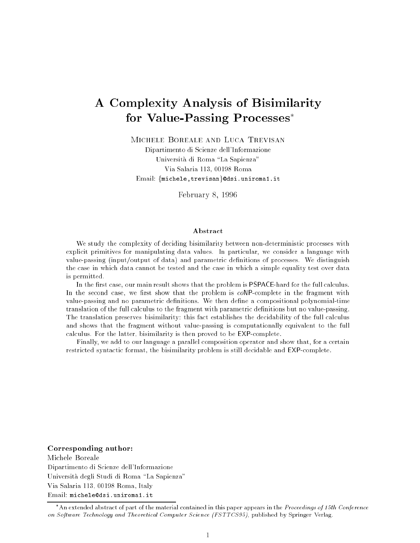# A Complexity Analysis of Bisimilarity for Value-Passing Processes

Michele Boreale and Luca Trevisan

Dipartimento di Scienze dell'Informazione Università di Roma "La Sapienza" Via Salaria 113, 00198 Roma Email: {michele,trevisan}@dsi.uniroma1.it

February 8, <sup>1996</sup>

#### Abstract

We study the complexity of deciding bisimilarity between non-deterministic processes with explicit primitives for manipulating data values. In particular, we consider a language with value-passing (input/output of data) and parametric definitions of processes. We distinguish the case in which data cannot be tested and the case in which a simple equality test over data is permitted.

In the first case, our main result shows that the problem is PSPACE-hard for the full calculus. In the second case, we first show that the problem is  $coNP$ -complete in the fragment with value-passing and no parametric definitions. We then define a compositional polynomial-time translation of the full calculus to the fragment with parametric definitions but no value-passing. The translation preserves bisimilarity: this fact establishes the decidability of the full calculus and shows that the fragment without value-passing is computationally equivalent to the full calculus. For the latter, bisimilarity is then proved to be EXP-complete.

Finally, we add to our language a parallel composition operator and show that, for a certain restricted syntactic format, the bisimilarity problem is still decidable and EXP-complete.

Corresponding author: Michele Boreale Dipartimento di Scienze dell'Informazione Universita degli Studi di Roma \La Sapienza" Via Salaria 113, 00198 Roma, Italy Email: michele@dsi.uniroma1.it

An extended abstract of part of the material contained in this paper appears in the Proceedings of 15th Conference on Software Technology and Theoretical Computer Science (FSTTCS95), published by Springer Verlag.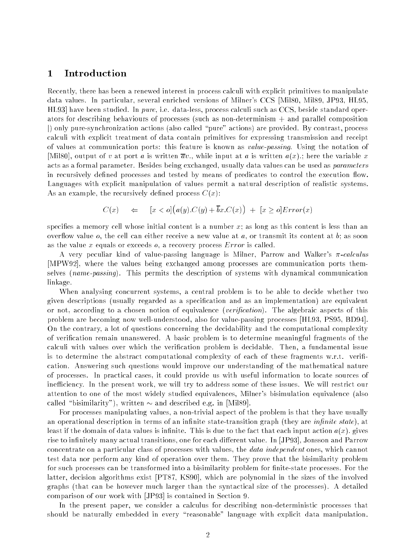# <sup>1</sup> Introduction

Recently, there has been a renewed interest in process calculi with explicit primitives to manipulate data values. In particular, several enriched versions of Milner's CCS [Mil80, Mil89, JP93, HL95, HL93] have been studied. In *pure*, i.e. data-less, process calculi such as CCS, beside standard operators for describing behaviours of processes (such as non-determinism + and parallel composition j) only pure-synchronization actions (also called \pure" actions) are provided. By contrast, process calculi with explicit treatment of data contain primitives for expressing transmission and receipt of values at communication ports: this feature is known as *value-passing*. Using the notation of [Mil80], output of v at port a is written  $\overline{a}v$ , while input at a is written  $a(x)$ ; here the variable x acts as a formal parameter. Besides being exchanged, usually data values can be used as *parameters* in recursively defined processes and tested by means of predicates to control the execution flow. Languages with explicit manipulation of values permit a natural description of realistic systems. As an example, the recursively defined process  $C(x)$ :

$$
C(x) \quad \Leftarrow \quad [x < o](a(y) \cdot C(y) + \overline{b}x \cdot C(x)) + [x \geq o] \text{Error}(x)
$$

specifies a memory cell whose initial content is a number  $x$ ; as long as this content is less than an overflow value  $o$ , the cell can either receive a new value at  $a$ , or transmit its content at  $b$ ; as soon as the value x equals or exceeds  $o$ , a recovery process  $Error$  is called.

A very peculiar kind of value-passing language is Milner, Parrow and Walker's  $\pi$ -calculus [MPW92], where the values being exchanged among processes are communication ports themselves (name-passing). This permits the description of systems with dynamical communication linkage.

When analysing concurrent systems, a central problem is to be able to decide whether two given descriptions (usually regarded as a specification and as an implementation) are equivalent or not, according to a chosen notion of equivalence (verification). The algebraic aspects of this problem are becoming now well-understood, also for value-passing processes [HL93, PS95, BD94]. On the contrary, a lot of questions concerning the decidability and the computational complexity of verication remain unanswered. A basic problem is to determine meaningful fragments of the calculi with values over which the verication problem is decidable. Then, a fundamental issue is to determine the abstract computational complexity of each of these fragments w.r.t. verification. Answering such questions would improve our understanding of the mathematical nature of processes. In practical cases, it could provide us with useful information to locate sources of inefficiency. In the present work, we will try to address some of these issues. We will restrict our attention to one of the most widely studied equivalences, Milner's bisimulation equivalence (also called "bisimilarity"), written  $\sim$  and described e.g. in [Mil89].

For processes manipulating values, a non-trivial aspect of the problem is that they have usually an operational description in terms of an infinite state-transition graph (they are *infinite state*), at least if the domain of data values is infinite. This is due to the fact that each input action  $a(x)$ , gives rise to infinitely many actual transitions, one for each different value. In [JP93], Jonsson and Parrow concentrate on a particular class of processes with values, the data independent ones, which cannot test data nor perform any kind of operation over them. They prove that the bisimilarity problem for such processes can be transformed into a bisimilarity problem for finite-state processes. For the latter, decision algorithms exist [PT87, KS90], which are polynomial in the sizes of the involved graphs (that can be however much larger than the syntactical size of the processes). A detailed comparison of our work with [JP93] is contained in Section 9.

In the present paper, we consider a calculus for describing non-deterministic processes that should be naturally embedded in every "reasonable" language with explicit data manipulation.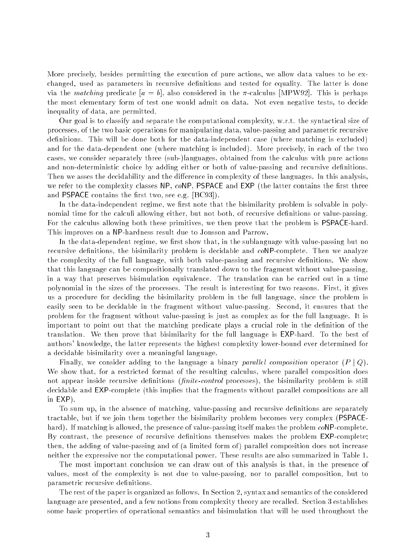More precisely, besides permitting the execution of pure actions, we allow data values to be exchanged, used as parameters in recursive definitions and tested for equality. The latter is done via the matching predicate  $[a = b]$ , also considered in the  $\pi$ -calculus [MPW92]. This is perhaps the most elementary form of test one would admit on data. Not even negative tests, to decide inequality of data, are permitted.

Our goal is to classify and separate the computational complexity, w.r.t. the syntactical size of processes, of the two basic operations for manipulating data, value-passing and parametric recursive definitions. This will be done both for the data-independent case (where matching is excluded) and for the data-dependent one (where matching is included). More precisely, in each of the two cases, we consider separately three (sub-)languages, obtained from the calculus with pure actions and non-deterministic choice by adding either or both of value-passing and recursive definitions. Then we asses the decidability and the difference in complexity of these languages. In this analysis, we refer to the complexity classes NP,  $coNP$ , PSPACE and EXP (the latter contains the first three and  $PSPACE$  contains the first two, see e.g.  $[BC93]$ .

In the data-independent regime, we first note that the bisimilarity problem is solvable in polynomial time for the calculi allowing either, but not both, of recursive definitions or value-passing. For the calculus allowing both these primitives, we then prove that the problem is PSPACE-hard. This improves on a NP-hardness result due to Jonsson and Parrow.

In the data-dependent regime, we first show that, in the sublanguage with value-passing but no recursive definitions, the bisimilarity problem is decidable and coNP-complete. Then we analyze the complexity of the full language, with both value-passing and recursive definitions. We show that this language can be compositionally translated down to the fragment without value-passing, in a way that preserves bisimulation equivalence. The translation can be carried out in a time polynomial in the sizes of the processes. The result is interesting for two reasons. First, it gives us a procedure for deciding the bisimilarity problem in the full language, since the problem is easily seen to be decidable in the fragment without value-passing. Second, it ensures that the problem for the fragment without value-passing is just as complex as for the full language. It is important to point out that the matching predicate plays a crucial role in the definition of the translation. We then prove that bisimilarity for the full language is EXP-hard. To the best of authors' knowledge, the latter represents the highest complexity lower-bound ever determined for a decidable bisimilarity over a meaningful language.

Finally, we consider adding to the language a binary parallel composition operator  $(P | Q)$ . We show that, for a restricted format of the resulting calculus, where parallel composition does not appear inside recursive definitions *(finite-control* processes), the bisimilarity problem is still decidable and EXP-complete (this implies that the fragments without parallel compositions are all in EXP).

To sum up, in the absence of matching, value-passing and recursive definitions are separately tractable, but if we join them together the bisimilarity problem becomes very complex (PSPACEhard). If matching is allowed, the presence of value-passing itself makes the problem coNP-complete. By contrast, the presence of recursive definitions themselves makes the problem EXP-complete; then, the adding of value-passing and of (a limited form of ) parallel composition does not increase neither the expressive nor the computational power. These results are also summarized in Table 1.

The most important conclusion we can draw out of this analysis is that, in the presence of values, most of the complexity is not due to value-passing, nor to parallel composition, but to parametric recursive definitions.

The rest of the paper is organized as follows. In Section 2, syntax and semantics of the considered language are presented, and a few notions from complexity theory are recalled. Section 3 establishes some basic properties of operational semantics and bisimulation that will be used throughout the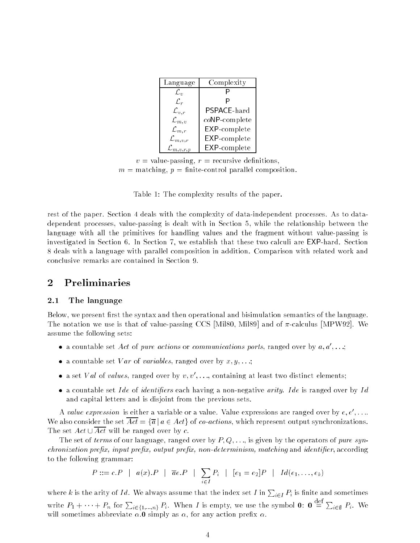| Language                | Complexity       |
|-------------------------|------------------|
| $\mathcal{L}_w$         |                  |
| $\mathcal{L}_r$         |                  |
| $\mathcal{L}_{v,r}$     | PSPACE-hard      |
| $\mathcal{L}_{m,v}$     | $coNP$ -complete |
| $\mathcal{L}_{m,r}$     | EXP-complete     |
| $\mathcal{L}_{m,v,r}$   | EXP-complete     |
| $\mathcal{L}_{m,v,r,p}$ | EXP-complete     |

 $v =$  value-passing,  $r =$  recursive definitions,  $m =$  matching,  $p =$  finite-control parallel composition.

|  |  | Table 1: The complexity results of the paper. |  |  |  |
|--|--|-----------------------------------------------|--|--|--|
|--|--|-----------------------------------------------|--|--|--|

rest of the paper. Section 4 deals with the complexity of data-independent processes. As to datadependent processes, value-passing is dealt with in Section 5, while the relationship between the language with all the primitives for handling values and the fragment without value-passing is investigated in Section 6. In Section 7, we establish that these two calculi are EXP-hard. Section 8 deals with a language with parallel composition in addition. Comparison with related work and conclusive remarks are contained in Section 9.

# <sup>2</sup> Preliminaries

## 2.1 The language

Below, we present first the syntax and then operational and bisimulation semantics of the language. The notation we use is that of value-passing CCS [Mil80, Mil89] and of  $\pi$ -calculus [MPW92]. We assume the following sets:

- a countable set *Act* of *pure actions* or *communications ports*, ranged over by  $a, a, \ldots;$
- a countable set Var of variables, ranged over by  $x, y, \ldots;$
- $\bullet$  a set *V at* of *values*, ranged over by  $v,v,\ldots$ , containing at least two distinct elements;
- a countable set Ide of identifiers each having a non-negative *arity.* Ide is ranged over by Id and capital letters and is disjoint from the previous sets.

A varie expression is either a variable or a value. Value expressions are ranged over by  $e, e, \ldots$ We also consider the set  $\overline{Act} = \{\overline{a} \mid a \in Act\}$  of co-actions, which represent output synchronizations. The set  $Act \cup \overline{Act}$  will be ranged over by c.

The set of terms of our language, ranged over by  $P,Q,\ldots$ , is given by the operators of pure syn $chromization\ prefix$ , input prefix, output prefix, non-determinism, matching and identifier, according to the following grammar:

$$
P ::= c.P \mid a(x).P \mid \overline{a}e.P \mid \sum_{i \in I} P_i \mid [e_1 = e_2]P \mid Id(e_1, ..., e_k)
$$

where  $k$  is the arity of  $Id$  . We always assume that the index set  $I$  in  $\sum_{i \in I} P_i$  is finite and sometimes write  $P_1+\cdots+P_n$  for  $\sum_{i\in\{1,...,n\}}P_i.$  When I is empty, we use the symbol 0: 0  $\stackrel{\text{def}}{=} \sum_{i\in\emptyset}P_i.$  We will sometimes abbreviate  $\alpha$ . **0** simply as  $\alpha$ , for any action prefix  $\alpha$ .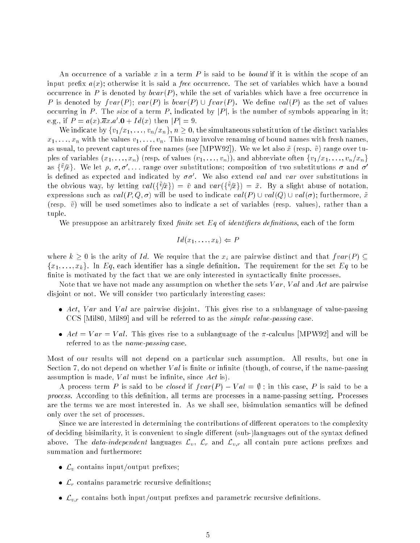An occurrence of a variable x in a term  $P$  is said to be *bound* if it is within the scope of an input prefix  $a(x)$ ; otherwise it is said a *free* occurrence. The set of variables which have a bound occurrence in P is denoted by  $bvar(P)$ , while the set of variables which have a free occurrence in P is denoted by  $fvar(P)$ ;  $var(P)$  is  $bvar(P) \cup fvar(P)$ . We define  $val(P)$  as the set of values occurring in P. The size of a term P, indicated by  $|P|$ , is the number of symbols appearing in it; e.g., if  $P = a(x)$  a.g.  $0 + I a(x)$  then  $|P| = 9$ .

We indicate by  $\{v_1/x_1, \ldots, v_n/x_n\}, n \geq 0$ , the simultaneous substitution of the distinct variables  $x_1, \ldots, x_n$  with the values  $v_1, \ldots, v_n$ . This may involve renaming of bound names with fresh names, as usual, to prevent captures of free names (see [MPW92]). We we let also  $\tilde{x}$  (resp.  $\tilde{v}$ ) range over tuples of variables  $(x_1, \ldots, x_n)$  (resp. of values  $(v_1, \ldots, v_n)$ ), and abbreviate often  $\{v_1/x_1, \ldots, v_n/x_n\}$ as  $\gamma^{\nu}x$  ; , we let  $\rho$ ,  $\sigma$ ,  $\sigma$  , , , , range over substitutions; composition of two substitutions  $\sigma$  and  $\sigma$ is defined as expected and indicated by  $oo$  . We also extend *val* and *var* over substitutions in the obvious way, by letting  $val(\{\tilde{v}\tilde{x}\}) = \tilde{v}$  and  $var(\{\tilde{v}\tilde{x}\}) = \tilde{x}$ . By a slight abuse of notation, expressions such as  $val(P,Q,\sigma)$  will be used to indicate  $val(P) \cup val(Q) \cup val(\sigma)$ ; furthermore,  $\tilde{x}$ (resp.  $\tilde{v}$ ) will be used sometimes also to indicate a set of variables (resp. values), rather than a tuple.

We presuppose an arbitrarely fixed *finite* set  $Eq$  of *identifiers definitions*, each of the form

$$
Id(x_1,\ldots,x_k) \Leftarrow P
$$

where  $k \geq 0$  is the arity of Id. We require that the  $x_i$  are pairwise distinct and that  $fvar(P) \subseteq$  $\{x_1,\ldots,x_k\}$ . In Eq, each identifier has a single definition. The requirement for the set Eq to be finite is motivated by the fact that we are only interested in syntactically finite processes.

Note that we have not made any assumption on whether the sets  $Var, Val$  and  $Act$  are pairwise disjoint or not. We will consider two particularly interesting cases:

- $\bullet$  Act, Var and Val are pairwise disjoint. This gives rise to a sublanguage of value-passing CCS [Mil80, Mil89] and will be referred to as the simple value-passing case.
- $\blacktriangleright$   $Act = Var = Val$ . This gives rise to a sublanguage of the  $\pi$ -calculus [MPW92] and will be referred to as the *name-passing* case.

Most of our results will not depend on a particular such assumption. All results, but one in Section 7, do not depend on whether Val is finite or infinite (though, of course, if the name-passing assumption is made,  $Val$  must be infinite, since  $Act$  is).

A process term P is said to be *closed* if  $fvar(P) - Val = \emptyset$ ; in this case, P is said to be a process. According to this definition, all terms are processes in a name-passing setting. Processes are the terms we are most interested in. As we shall see, bisimulation semantics will be defined only over the set of processes.

Since we are interested in determining the contributions of different operators to the complexity of deciding bisimilarity, it is convenient to single different (sub-)languages out of the syntax defined above. The *data-independent* languages  $\mathcal{L}_v$ ,  $\mathcal{L}_r$  and  $\mathcal{L}_{v,r}$  all contain pure actions prefixes and summation and furthermore:

- $\mathcal{L}_v$  contains input/output prefixes;
- $\bullet$   $\mathcal{L}_r$  contains parametric recursive definitions;
- $\bullet$   $\mathcal{L}_{v,r}$  contains both input/output prefixes and parametric recursive definitions.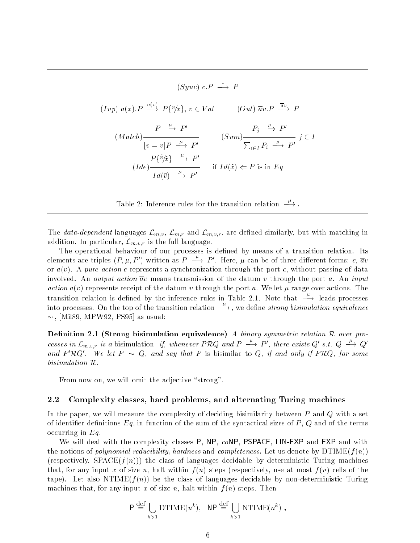$(Sync) c.P \stackrel{c}{\longrightarrow} P$  $(Inp)\ a(x).P \stackrel{a(v)}{\longrightarrow} P\{v/x\},\ v\in Val$   $(Out)\ \overline{a}v.P \stackrel{\overline{a}v}{\longrightarrow} P$  $\blacksquare$  $P \stackrel{\mu}{\longrightarrow} P'$  $[v=v]P \stackrel{\mu}{\longrightarrow} P'$  $\sim$   $\sim$   $\sim$   $\sim$   $\sim$   $\sim$  $P_j \stackrel{\mu}{\longrightarrow} P'$  $\sum_{i\in I} P_i \stackrel{\mu}{\longrightarrow} P'$ j <sup>2</sup> I  $\blacksquare$  $P\{\tilde{v}/\tilde{x}\} \stackrel{\mu}{\longrightarrow} P'$  $\stackrel{\mu}{\longrightarrow} P'$  $\cdots$  is in eq. ( ) and  $\cdots$  is in Eq. ( ) and  $\cdots$  in Eq. (

Table 2: Inference rules for the transition relation  $\stackrel{\mu}{\longrightarrow}$ .

The *data-dependent* languages  $\mathcal{L}_{m,v}$ ,  $\mathcal{L}_{m,r}$  and  $\mathcal{L}_{m,v,r}$ , are defined similarly, but with matching in addition. In particular,  $\mathcal{L}_{m,v,r}$  is the full language.

The operational behaviour of our processes is defined by means of a transition relation. Its elements are triples  $(P, \mu, P')$  written as  $P \stackrel{\mu}{\longrightarrow} P'.$  Here,  $\mu$  can be of three different forms:  $c, \overline{a}v$ or  $a(v)$ . A pure action c represents a synchronization through the port c, without passing of data involved. An *output action*  $\overline{a}v$  means transmission of the datum v through the port a. An *input* action  $a(v)$  represents receipt of the datum v through the port a. We let  $\mu$  range over actions. The transition relation is defined by the inference rules in Table 2.1. Note that  $\stackrel{\mu}{\longrightarrow}$  leads processes into processes. On the top of the transition relation  $\stackrel{\mu}{\longrightarrow}$ , we define *strong bisimulation equivalence*  $\sim$ , [Mil89, MPW92, PS95] as usual:

**Definition 2.1 (Strong bisimulation equivalence)** A binary symmetric relation  $\mathcal{R}$  over processes in  $\mathcal{L}_{m,v,r}$  is a bisimulation if, whenever PRQ and P  $\stackrel{\mu}{\longrightarrow} P'$ , there exists Q' s.t.  $Q \stackrel{\mu}{\longrightarrow} Q'$ and P  $\kappa_Q$  . We let  $P$   $\sim$  Q, and say that P is bisimilar to Q, if and only if P  $\kappa_Q$ , for some bisimulation R.

From now on, we will omit the adjective "strong".

## 2.2 Complexity classes, hard problems, and alternating Turing machines

In the paper, we will measure the complexity of deciding bisimilarity between  $P$  and  $Q$  with a set of identifier definitions  $Eq$ , in function of the sum of the syntactical sizes of  $P$ ,  $Q$  and of the terms occurring in  $Eq.$ 

We will deal with the complexity classes P, NP, coNP, PSPACE, LIN-EXP and EXP and with the notions of polynomial reducibility, hardness and completeness. Let us denote by  $DTIME(f(n))$ (respectively,  $SPACE(f(n))$ ) the class of languages decidable by deterministic Turing machines that, for any input x of size n, halt within  $f(n)$  steps (respectively, use at most  $f(n)$  cells of the tape). Let also NTIME $(f(n))$  be the class of languages decidable by non-deterministic Turing machines that, for any input x of size n, halt within  $f(n)$  steps. Then

$$
P \stackrel{\text{def}}{=} \bigcup_{k>1} \text{DTIME}(n^k), \ \ \text{NP} \stackrel{\text{def}}{=} \bigcup_{k>1} \text{NTIME}(n^k) \ ,
$$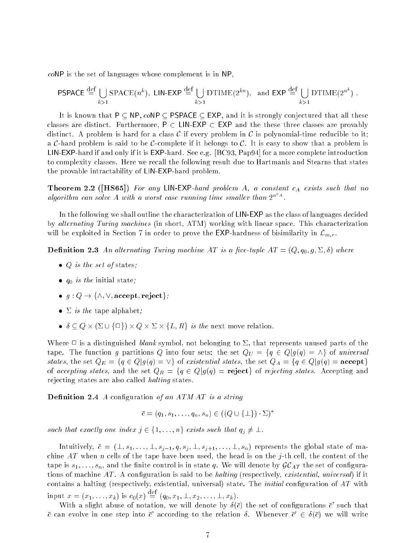coNP is the set of languages whose complement is in NP,

$$
\text{PSPACE} \stackrel{\text{def}}{=} \bigcup_{k > 1} \text{SPACE}(n^k), \ \text{LIN-EXP} \stackrel{\text{def}}{=} \bigcup_{k > 1} \text{DTIME}(2^{kn}), \ \text{and} \ \text{EXP} \stackrel{\text{def}}{=} \bigcup_{k > 1} \text{DTIME}(2^{n^k}) \ .
$$

It is known that  $P \subseteq NP$ ,  $coNP \subseteq PSPACE \subseteq EXP$ , and it is strongly conjectured that all these classes are distinct. Furthermore,  $P \subset LIN-EXP \subset EXP$  and the these three classes are provably distinct. A problem is hard for a class C if every problem in C is polynomial-time reducible to it; a C-hard problem is said to be C-complete if it belongs to C. It is easy to show that a problem is LIN-EXP-hard if and only if it is EXP-hard. See e.g. [BC93, Pap94] for a more complete introduction to complexity classes. Here we recall the following result due to Hartmanis and Stearns that states the provable intractability of LIN-EXP-hard problem.

**Theorem 2.2 ([HS65])** For any LIN-EXP-hard problem A, a constant  $c_A$  exists such that no algorithm can solve A with a worst case running time smaller than  $2^{n^c A}$ .

In the following we shall outline the characterization of LIN-EXP as the class of languages decided by alternating Turing machines (in short, ATM) working with linear space. This characterization will be exploited in Section 7 in order to prove the EXP-hardness of bisimilarity in  $\mathcal{L}_{m,r}$ .

**Definition 2.3** An alternating Turing machine AT is a five-tuple  $AT = (Q, q_0, g, \Sigma, \delta)$  where

- $\bullet$  Q is the set of states;
- $\bullet$  q<sub>0</sub> is the initial state;
- $g: Q \to \{\wedge, \vee, \text{accept}, \text{reject}\}\; ;$
- $\Sigma$  *is the* tape alphabet;
- Q ( [ f2g) Q fL; Rg is the next move relation.

Where  $\Box$  is a distinguished *blank* symbol, not belonging to  $\Sigma$ , that represents unused parts of the tape. The function g partitions Q into four sets: the set  $Q_U = \{q \in Q | g(q) = \wedge\}$  of universal states, the set  $Q_E = \{q \in Q | g(q) = \vee\}$  of existential states, the set  $Q_A = \{q \in Q | g(q) = \text{accept}\}\$ of accepting states, and the set  $Q_R = \{q \in Q | g(q) = \text{reject}\}\$  of rejecting states. Accepting and rejecting states are also called *halting* states.

**Definition 2.4** A configuration of an ATM AT is a string

$$
\bar{c} = (q_1, s_1, \dots, q_n, s_n) \in ((Q \cup \{\perp\}) \cdot \Sigma)^*
$$

such that exactly one index  $j \in \{1, \ldots, n\}$  exists such that  $q_j \neq \bot$ .

Intuitively,  $\bar{c} = (\perp, s_1, \ldots, \perp, s_{j-1}, q, s_j, \perp, s_{j+1}, \ldots, \perp, s_n)$  represents the global state of machine  $AT$  when n cells of the tape have been used, the head is on the j-th cell, the content of the tape is  $s_1, \ldots, s_n$ , and the finite control is in state q. We will denote by  $\mathcal{GC}_{AT}$  the set of configurations of machine  $AT$ . A configuration is said to be *halting* (respectively, *existential, universal*) if it contains a halting (respectively, existential, universal) state. The *initial* configuration of  $AT$  with input  $x = (x_1, \ldots, x_k)$  is  $c_0(x) \equiv (q_0, x_1, \perp, x_2, \ldots, \perp, x_k).$ 

With a slight abuse of notation, we will denote by  $\delta(\bar{c})$  the set of configurations  $\bar{c}$ ' such that  $\bar{c}$  can evolve in one step into  $\bar{c}'$  according to the relation  $\delta$ . Whenever  $\bar{c}' \in \delta(\bar{c})$  we will write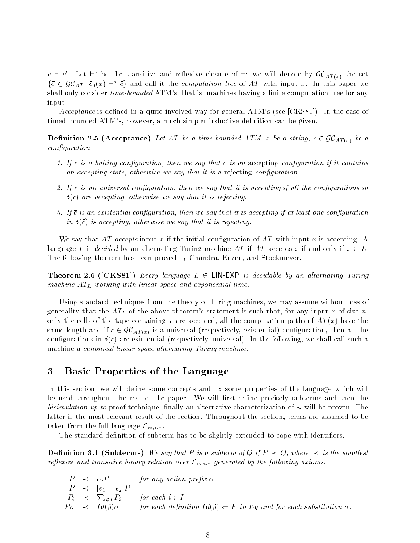$c \ \vdash \ c$  . Let  $\vdash$  be the transitive and renexive closure of  $\vdash$ : we will denote by  $\mathcal{GL}_{AT(x)}$  the set  $\{c \in \mathcal{GC}_AT \mid c_0(x) \vdash c\}$  and call it the *computation tree* of AT with input x. In this paper we shall only consider *time-bounded* ATM's, that is, machines having a finite computation tree for any input.

*Acceptance* is defined in a quite involved way for general ATM's (see [CKS81]). In the case of timed bounded ATM's, however, a much simpler inductive definition can be given.

**Definition 2.5 (Acceptance)** Let AT be a time-bounded ATM, x be a string,  $\bar{c} \in \mathcal{GC}_{AT(x)}$  be a configuration.

- 1. If  $\bar{c}$  is a halting configuration, then we say that  $\bar{c}$  is an accepting configuration if it contains an accepting state, otherwise we say that it is a rejecting configuration.
- 2. If  $\bar{c}$  is an universal configuration, then we say that it is accepting if all the configurations in  $\delta(\bar{c})$  are accepting, otherwise we say that it is rejecting.
- 3. If  $\bar{c}$  is an existential configuration, then we say that it is accepting if at least one configuration in  $\delta(\bar{c})$  is accepting, otherwise we say that it is rejecting.

We say that AT accepts input x if the initial configuration of AT with input x is accepting. A language L is decided by an alternating Turing machine AT if AT accepts x if and only if  $x \in L$ . The following theorem has been proved by Chandra, Kozen, and Stockmeyer.

**Theorem 2.6 ([CKS81])** Every language  $L \in \textsf{LIN-EXP}$  is decidable by an alternating Turing machine  $AT_L$  working with linear space and exponential time.

Using standard techniques from the theory of Turing machines, we may assume without loss of generality that the  $AT<sub>L</sub>$  of the above theorem's statement is such that, for any input x of size n, only the cells of the tape containing x are accessed, all the computation paths of  $AT(x)$  have the same length and if  $\bar{c} \in \mathcal{GC}_{AT(x)}$  is a universal (respectively, existential) configuration, then all the configurations in  $\delta(\bar{c})$  are existential (respectively, universal). In the following, we shall call such a machine a canonical linear-space alternating Turing machine.

# <sup>3</sup> Basic Properties of the Language

In this section, we will define some concepts and fix some properties of the language which will be used throughout the rest of the paper. We will first define precisely subterms and then the *bisimulation up-to* proof technique; finally an alternative characterization of  $\sim$  will be proven. The latter is the most relevant result of the section. Throughout the section, terms are assumed to be taken from the full language  $\mathcal{L}_{m,v,r}$ .

The standard definition of subterm has to be slightly extended to cope with identifiers.

**Definition 3.1 (Subterms)** We say that P is a subterm of Q if  $P \prec Q$ , where  $\prec$  is the smallest reflexive and transitive binary relation over  $\mathcal{L}_{m,v,r}$  generated by the following axioms:

$$
P \prec \alpha.P
$$
 for any action prefix  $\alpha$   
\n
$$
P \prec [e_1 = e_2]P
$$
  
\n
$$
P_i \prec \sum_{i \in I} P_i
$$
 for each  $i \in I$   
\n
$$
P\sigma \prec Id(\tilde{y})\sigma
$$
 for each definition  $Id(\tilde{y}) \Leftarrow P$  in Eq and for each substitution  $\sigma$ .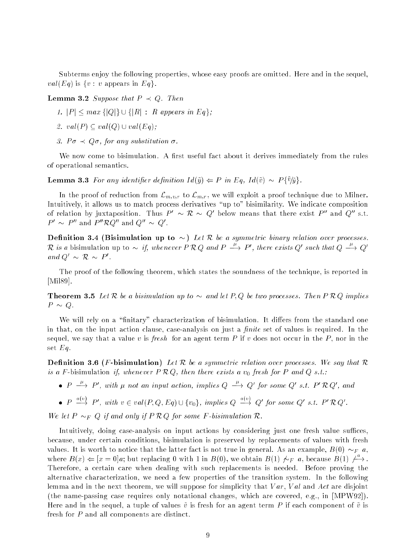Subterms enjoy the following properties, whose easy proofs are omitted. Here and in the sequel,  $val(Eq)$  is  $\{v : v$  appears in  $Eq\}.$ 

**Lemma 3.2** Suppose that  $P \prec Q$ . Then

- 1.  $|P| \leq max \{|Q|\} \cup \{|R| : R$  appears in Eq.};
- 2.  $val(P) \subset val(Q) \cup val(Eq);$
- 3. P $\sigma \prec Q\sigma$ , for any substitution  $\sigma$ .

We now come to bisimulation. A first useful fact about it derives immediately from the rules of operational semantics.

**Lemma 3.3** For any identifier definition  $Id(\tilde{y}) \Leftarrow P$  in Eq.  $Id(\tilde{v}) \sim P\{\tilde{v}/\tilde{y}\}.$ 

In the proof of reduction from  $\mathcal{L}_{m,v,r}$  to  $\mathcal{L}_{m,r}$ , we will exploit a proof technique due to Milner. Intuitively, it allows us to match process derivatives "up to" bisimilarity. We indicate composition of relation by juxtaposition. Thus  $P$   $\sim$   $\kappa$   $\sim$   $Q$  below means that there exist  $P$  and  $Q$  s.t.  $P \sim P$  and  $P$   $KQ$  and  $Q \sim Q$ .

**Definition 3.4 (Bisimulation up to**  $\sim$ **)** Let R be a symmetric binary relation over processes. R is a bisimulation up to  $\sim$  if, whenever P R Q and P  $\stackrel{\mu}{\longrightarrow}$  P', there exists Q' such that  $Q \stackrel{\mu}{\longrightarrow} Q'$ and  $Q \sim \kappa \sim P$ .

The proof of the following theorem, which states the soundness of the technique, is reported in [Mil89].

**Theorem 3.5** Let R be a bisimulation up to  $\sim$  and let P, Q be two processes. Then P R Q implies  $P \sim Q$ .

We will rely on a "finitary" characterization of bisimulation. It differs from the standard one in that, on the input action clause, case-analysis on just a *finite* set of values is required. In the sequel, we say that a value v is fresh for an agent term  $P$  if v does not occur in the  $P$ , nor in the set  $Eq.$ 

**Definition 3.6** (F-bisimulation) Let R be a symmetric relation over processes. We say that R is a F-bisimulation if, whenever  $PRQ$ , then there exists a  $v_0$  fresh for P and Q s.t.:

- $P \stackrel{\mu}{\longrightarrow} P'$ , with  $\mu$  not an input action, implies  $Q \stackrel{\mu}{\longrightarrow} Q'$  for some  $Q'$  s.t.  $P' \mathcal{R} Q'$ , and
- $P \stackrel{a(v)}{\longrightarrow} P'$ , with  $v \in val(P, Q, Eq) \cup \{v_0\}$ , implies Q  $\stackrel{a(v)}{\longrightarrow} Q'$  for some Q' s.t.  $P' \mathcal{R} Q'$ .

We let  $P \sim_F Q$  if and only if  $P R Q$  for some F-bisimulation R.

Intuitively, doing case-analysis on input actions by considering just one fresh value suffices, because, under certain conditions, bisimulation is preserved by replacements of values with fresh values. It is worth to notice that the latter fact is not true in general. As an example,  $B(0) \sim_F a$ , where  $B(x) \Leftarrow [x = 0]a$ ; but replacing 0 with 1 in  $B(0)$ , we obtain  $B(1) \nleftrightarrow_F a$ , because  $B(1) \nleftrightarrow$ . Therefore, a certain care when dealing with such replacements is needed. Before proving the alternative characterization, we need a few properties of the transition system. In the following lemma and in the next theorem, we will suppose for simplicity that  $Var$ , Val and Act are disjoint (the name-passing case requires only notational changes, which are covered, e.g., in [MPW92]). Here and in the sequel, a tuple of values  $\tilde{v}$  is fresh for an agent term P if each component of  $\tilde{v}$  is fresh for  $P$  and all components are distinct.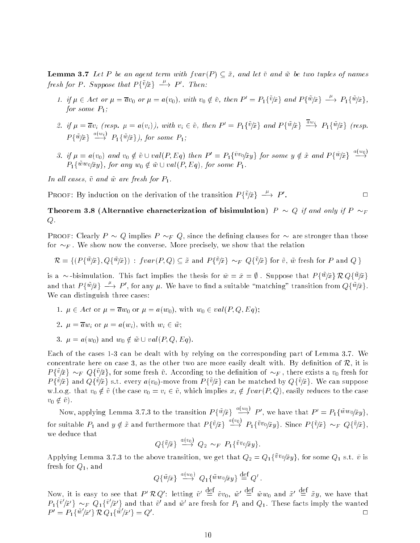**Lemma 3.7** Let P be an agent term with  $fvar(P) \subseteq \tilde{x}$ , and let  $\tilde{v}$  and  $\tilde{w}$  be two tuples of names fresh for P. Suppose that  $P\{\tilde{v}/\tilde{x}\} \stackrel{\mu}{\longrightarrow} P'$ . Then:

- 1. if  $\mu \in \text{Act}$  or  $\mu = \overline{a}v_0$  or  $\mu = a(v_0)$ , with  $v_0 \notin \tilde{v}$ , then  $P' = P_1\{\tilde{v}/\tilde{x}\}$  and  $P\{\tilde{w}/\tilde{x}\} \xrightarrow{\mu} P_1\{\tilde{w}/\tilde{x}\}$ , for some  $P_1$ ;
- 2. if  $\mu = \overline{a}v_i$  (resp.  $\mu = a(v_i)$ ), with  $v_i \in \tilde{v}$ , then  $P' = P_1\{\tilde{v}/\tilde{x}\}$  and  $P\{\tilde{w}/\tilde{x}\} \stackrel{aw_i}{\longrightarrow} P_1\{\tilde{w}/\tilde{x}\}$  (resp.  $P\{\tilde{\psi} \tilde{x}\} \stackrel{a(w_i)}{\longrightarrow} P_1\{\tilde{\psi} \tilde{x}\}\,$ , for some  $P_1$ ;
- 3. if  $\mu = a(v_0)$  and  $v_0 \notin \tilde{v} \cup val(P, Eq)$  then  $P' = P_1\{\tilde{v}v_0/\tilde{x}y\}$  for some  $y \notin \tilde{x}$  and  $P\{\tilde{w}/\tilde{x}\} \stackrel{a(w_0)}{\longrightarrow}$  $P_1\{\tilde{w}w_0 \tilde{x}y\},$  for any  $w_0 \notin \tilde{w} \cup val(P,Eq),$  for some  $P_1$ .

In all cases,  $\tilde{v}$  and  $\tilde{w}$  are fresh for  $P_1$ .

PROOF: By induction on the derivation of the transition  $P\{\tilde{v}/\tilde{x}\} \stackrel{\mu}{\longrightarrow} P'$ 

 $\Box$ 

Theorem 3.8 (Alternative characterization of bisimulation)  $P \sim Q$  if and only if  $P \sim_F$  $Q$ .

**PROOF:** Clearly  $P \sim Q$  implies  $P \sim_F Q$ , since the defining clauses for  $\sim$  are stronger than those for  $\sim_F$ . We show now the converse. More precisely, we show that the relation

$$
\mathcal{R} = \{ (P\{\tilde{w}/\tilde{x}\}, Q\{\tilde{w}/\tilde{x}\}) : \text{fvar}(P, Q) \subseteq \tilde{x} \text{ and } P\{\tilde{v}/\tilde{x}\} \sim_F Q\{\tilde{v}/\tilde{x}\} \text{ for } \tilde{v}, \tilde{w} \text{ fresh for } P \text{ and } Q \}
$$

is a  $\sim$ -bisimulation. This fact implies the thesis for  $\tilde{w} = \tilde{x} = \emptyset$ . Suppose that  $P\{\tilde{w}/\tilde{x}\}\mathcal{R} Q\{\tilde{w}/\tilde{x}\}$ and that  $P\{\tilde{w}/\tilde{x}\} \stackrel{\mu}{\longrightarrow} P'$ , for any  $\mu$ . We have to find a suitable "matching" transition from  $O\{\tilde{w}/\tilde{x}\}$ . We can distinguish three cases:

- 1.  $\mu \in Act$  or  $\mu = \overline{a}w_0$  or  $\mu = a(w_0)$ , with  $w_0 \in val(P, Q, Eq)$ ;
- 2.  $\mu = \overline{a}w_i$  or  $\mu = a(w_i)$ , with  $w_i \in \tilde{w}$ ;
- 3.  $\mu = a(w_0)$  and  $w_0 \notin \tilde{w} \cup val(P, Q, Eq)$ .

Each of the cases 1-3 can be dealt with by relying on the corresponding part of Lemma 3.7. We concentrate here on case 3, as the other two are more easily dealt with. By definition of  $\mathcal{R}$ , it is  $P\{\tilde{\psi}(\tilde{x})\sim_F Q\{\tilde{\psi}(\tilde{x}\})\}$ , for some fresh  $\tilde{v}$ . According to the definition of  $\sim_F$ , there exists a  $v_0$  fresh for  $P\{\tilde{v}/\tilde{x}\}$  and  $Q\{\tilde{v}/\tilde{x}\}$  s.t. every  $a(v_0)$ -move from  $P\{\tilde{v}/\tilde{x}\}$  can be matched by  $Q\{\tilde{v}/\tilde{x}\}$ . We can suppose w.l.o.g. that  $v_0 \notin \tilde{v}$  (the case  $v_0 = v_i \in \tilde{v}$ , which implies  $x_i \notin fvar(P, Q)$ , easily reduces to the case  $v_0 \notin \tilde{v}$ .

Now, applying Lemma 3.7.3 to the transition  $P\{\tilde{w}/\tilde{x}\}\stackrel{a(w_0)}{\longrightarrow}P'$ , we have that  $P' = P_1\{\tilde{w}w_0/\tilde{x}y\},\$ for suitable  $P_1$  and  $y \notin \tilde{x}$  and furthermore that  $P\{\tilde{v}/\tilde{x}\} \stackrel{a(v_0)}{\longrightarrow} P_1\{\tilde{v}v_0/\tilde{x}y\}$ . Since  $P\{\tilde{v}/\tilde{x}\} \sim_F Q\{\tilde{v}/\tilde{x}\}$ , we deduce that

$$
Q\{\tilde{v}/\tilde{x}\}\stackrel{a(v_0)}{\longrightarrow} Q_2 \sim_F P_1\{\tilde{v}v_0/\tilde{x}y\}.
$$

Applying Lemma 3.7.3 to the above transition, we get that  $Q_2 = Q_1\{\tilde{v}v_0/\tilde{x}y\}$ , for some  $Q_1$  s.t.  $\tilde{v}$  is fresh for  $Q_1$ , and

$$
Q\{\tilde{w}/\tilde{x}\}\stackrel{a(w_0)}{\longrightarrow} Q_1\{\tilde{w}w_0/\tilde{x}y\}\stackrel{\text{def}}{=} Q'.
$$

Now, it is easy to see that  $P' \mathcal{K} Q'$ : letting  $v' = v v_0, w' = w w_0$  and  $x' = x y$ , we have that  $P_1\{^\nu/\tilde{x}'\}\sim_F Q_1\{^\nu/\tilde{x}'\}$  and that  $v'$  and  $w'$  are fresh for  $P_1$  and  $Q_1$ . These facts imply the wanted  $P' = P_1\{w'\}\tilde{x}'\}\mathcal{R} Q_1\{w'\}\tilde{x}'\} = Q'$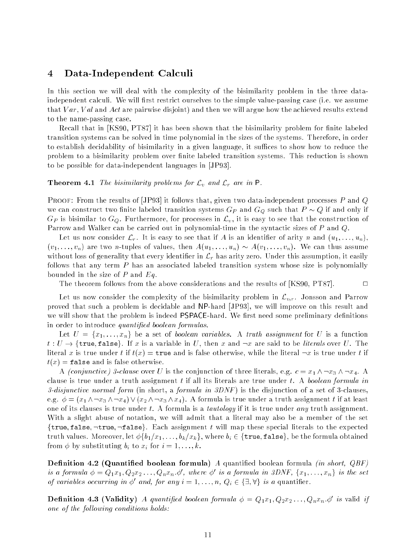# <sup>4</sup> Data-Independent Calculi

In this section we will deal with the complexity of the bisimilarity problem in the three dataindependent calculi. We will first restrict ourselves to the simple value-passing case (i.e. we assume that  $Var, Val$  and  $Act$  are pairwise disjoint) and then we will argue how the achieved results extend to the name-passing case.

Recall that in [KS90, PT87] it has been shown that the bisimilarity problem for finite labeled transition systems can be solved in time polynomial in the sizes of the systems. Therefore, in order to establish decidability of bisimilarity in a given language, it suffices to show how to reduce the problem to a bisimilarity problem over finite labeled transition systems. This reduction is shown to be possible for data-independent languages in [JP93].

## **Theorem 4.1** The bisimilarity problems for  $\mathcal{L}_v$  and  $\mathcal{L}_r$  are in P.

**PROOF:** From the results of [JP93] it follows that, given two data-independent processes P and  $Q$ we can construct two finite labeled transition systems  $G_P$  and  $G_Q$  such that  $P \sim Q$  if and only if  $G_P$  is bisimilar to  $G_Q$ . Furthermore, for processes in  $\mathcal{L}_v$ , it is easy to see that the construction of Parrow and Walker can be carried out in polynomial-time in the syntactic sizes of  $P$  and  $Q$ .

Let us now consider  $\mathcal{L}_r$ . It is easy to see that if A is an identifier of arity n and  $(u_1, \ldots, u_n)$ ,  $(v_1,\ldots,v_n)$  are two *n*-tuples of values, then  $A(u_1,\ldots,u_n) \sim A(v_1,\ldots,v_n)$ . We can thus assume without loss of generality that every identifier in  $\mathcal{L}_r$  has arity zero. Under this assumption, it easily follows that any term  $P$  has an associated labeled transition system whose size is polynomially bounded in the size of  $P$  and  $Eq.$ 

The theorem follows from the above considerations and the results of [KS90, PT87].  $\Box$ 

Let us now consider the complexity of the bisimilarity problem in  $\mathcal{L}_{v,r}$ . Jonsson and Parrow proved that such a problem is decidable and NP-hard [JP93], we will improve on this result and we will show that the problem is indeed PSPACE-hard. We first need some preliminary definitions in order to introduce quantified boolean formulas.

Let  $U = \{x_1, \ldots, x_n\}$  be a set of *boolean variables.* A truth assignment for U is a function  $t: U \to \{\text{true}, \text{false}\}.$  If x is a variable in U, then x and  $\neg x$  are said to be literals over U. The literal x is true under t if  $t(x) = \text{true}$  and is false otherwise, while the literal  $\neg x$  is true under t if  $t(x)$  = false and is false otherwise.

A *(conjunctive)* 3-clause over U is the conjunction of three literals, e.g.  $c = x_1 \wedge \neg x_3 \wedge \neg x_4$ . A clause is true under a truth assignment  $t$  if all its literals are true under  $t$ . A boolean formula in 3-disjunctive normal form (in short, a formula in  $3DNF$ ) is the disjunction of a set of 3-clauses. e.g.  $\phi = (x_1 \wedge \neg x_3 \wedge \neg x_4) \vee (x_2 \wedge \neg x_3 \wedge x_4)$ . A formula is true under a truth assignment t if at least one of its clauses is true under t. A formula is a tautology if it is true under any truth assignment. With a slight abuse of notation, we will admit that a literal may also be a member of the set  $\{true, false, \neg true, \neg false\}$ . Each assignment t will map these special literals to the expected truth values. Moreover, let  $\phi\{b_1/x_1, \ldots, b_k/x_k\}$ , where  $b_i \in \{\texttt{true}, \texttt{false}\}$ , be the formula obtained from  $\phi$  by substituting  $b_i$  to  $x_i$  for  $i = 1, \ldots, k$ .

**Definition 4.2 (Quantified boolean formula)** A quantified boolean formula *(in short, QBF)* is a formula  $\varphi = Q_1 x_1, Q_2 x_2 \ldots, Q_n x_n \ldots \varphi$ , where  $\varphi$  is a formula in SDNF,  $\{x_1, \ldots, x_n\}$  is the set *of variables occurring in*  $\varphi$  *and, for any*  $i = 1, \ldots, n$ *,*  $Q_i \in \{\exists, \forall\}$  *is a quantiner.* 

**Definition 4.3 (Validity)** A quantified boolean formula  $\varphi = Q_1 x_1, Q_2 x_2 \ldots, Q_n x_n \varphi$  is valid if one of the following conditions holds: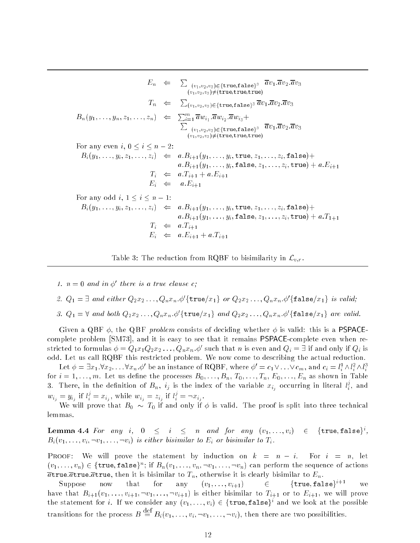|                                                                                                                                             | $E_n \Leftrightarrow \sum_{(v_1,v_2,v_3) \in \{\texttt{true},\texttt{false}\}^3} \overline{a} v_1.\overline{a} v_2.\overline{a} v_3$<br>$(v_1, v_2, v_3) \neq (\mathtt{true}, \mathtt{true}, \mathtt{true})$     |
|---------------------------------------------------------------------------------------------------------------------------------------------|------------------------------------------------------------------------------------------------------------------------------------------------------------------------------------------------------------------|
|                                                                                                                                             | $T_n \Leftrightarrow \sum_{(v_1, v_2, v_3) \in \{\text{true}, \text{false}\}^3} \overline{a} v_1 \cdot \overline{a} v_2 \cdot \overline{a} v_3$                                                                  |
| $B_n(y_1,\ldots,y_n,z_1,\ldots,z_n) \Leftrightarrow \sum_{i=1}^m \overline{a}w_{i_1} \cdot \overline{a}w_{i_2} \cdot \overline{a}w_{i_3} +$ | $\sum_{(v_1, v_2, v_3) \in \{\texttt{true}, \texttt{false}\}^3} \overline{a} v_1.\overline{a} v_2.\overline{a} v_3$<br>$(v_1, v_2, v_3) \neq (\mathtt{true}, \mathtt{true}, \mathtt{true})$                      |
| For any even i, $0 \leq i \leq n-2$ :                                                                                                       |                                                                                                                                                                                                                  |
|                                                                                                                                             | $B_i(y_1,\ldots,y_i,z_1,\ldots,z_i) \Leftrightarrow a.B_{i+1}(y_1,\ldots,y_i,\mathtt{true},z_1,\ldots,z_i,\mathtt{false})+$<br>$a.B_{i+1}(y_1,\ldots,y_i,\texttt{false},z_1,\ldots,z_i,\texttt{true})+a.E_{i+1}$ |
|                                                                                                                                             | $T_i \Leftrightarrow a.T_{i+1} + a.E_{i+1}$<br>$E_i \Leftrightarrow a.E_{i+1}$                                                                                                                                   |
| For any odd i, $1 \leq i \leq n-1$ :                                                                                                        |                                                                                                                                                                                                                  |
|                                                                                                                                             | $B_i(y_1,\ldots,y_i,z_1,\ldots,z_i) \Leftrightarrow a.B_{i+1}(y_1,\ldots,y_i,\mathtt{true},z_1,\ldots,z_i,\mathtt{false})+$                                                                                      |
|                                                                                                                                             | $a.B_{i+1}(y_1,\ldots,y_i,\texttt{false},z_1,\ldots,z_i,\texttt{true})+a.T_{1+1}$                                                                                                                                |
|                                                                                                                                             | $T_i \Leftrightarrow a.T_{i+1}$                                                                                                                                                                                  |
|                                                                                                                                             | $E_i \Leftrightarrow a.E_{i+1} + a.T_{i+1}$                                                                                                                                                                      |

Table 3: The reduction from RQBF to bisimilarity in  $\mathcal{L}_{v,r}$ .

1.  $n = 0$  and  $in \varphi$  there is a true clause c;

2. 
$$
Q_1 = \exists
$$
 and either  $Q_2 x_2 \ldots, Q_n x_n$ .  $\phi'$ {true/x<sub>1</sub>} or  $Q_2 x_2 \ldots, Q_n x_n$ .  $\phi'$ {false/x<sub>1</sub>} is valid;

3.  $Q_1 = \vee$  and both  $Q_2x_2 \ldots$ ,  $Q_nx_n \varphi$  {true/x<sub>1</sub>} and  $Q_2x_2 \ldots$ ,  $Q_nx_n \varphi$  {taise/x<sub>1</sub>} are valia.

Given a QBF  $\phi$ , the QBF problem consists of deciding whether  $\phi$  is valid: this is a PSPACEcomplete problem [SM73], and it is easy to see that it remains PSPACE-complete even when restricted to formulas  $\phi = Q_1 x_1 Q_2 x_2 \ldots, Q_n x_n.\phi$  such that  $n$  is even and  $Q_i =$  9 if and only if  $Q_i$  is odd. Let us call RQBF this restricted problem. We now come to describing the actual reduction.

Let  $\varphi = \exists x_1. \forall x_2 \dots \forall x_n. \varphi$  be an instance of KQBF, where  $\varphi = c_1 \vee \dots \vee c_m$ , and  $c_i = \iota_i^- \wedge \iota_i^- \wedge \iota_i^$ for  $i=1,\ldots,m$ . Let us define the processes  $B_0,\ldots,B_n, T_0,\ldots,T_n, E_0,\ldots,E_n$  as shown in Table 3. There, in the definition of  $B_n, \; i_j$  is the index of the variable  $x_{i_j}$  occurring in literal  $l_i^j,$  and  $w_{i_j} = y_{i_j}$  if  $l_i^j = x_{i_j}$ , while  $w_{i_j} = z_{i_j}$  if  $l_i^j = \neg x_{i_j}$ .

We will prove that  $B_0 \sim T_0$  if and only if  $\phi$  is valid. The proof is split into three technical lemmas.

**Lemma 4.4** For any i,  $0 \leq i \leq n$  and for any  $(v_1, \ldots, v_i) \in$  $\{true, false\}^i$ ,  $B_i(v_1, \ldots, v_i, \neg v_1, \ldots, \neg v_i)$  is either bisimilar to  $E_i$  or bisimilar to  $T_i$ .

**PROOF:** We will prove the statement by induction on  $k = n - i$ . For  $i = n$ , let  $(v_1,\ldots,v_n)\in\{\mathtt{true},\mathtt{false}\}^n$ ; if  $B_n(v_1,\ldots,v_n,\neg v_1,\ldots,\neg v_n)$  can perform the sequence of actions  $\overline{a}$ true. $\overline{a}$ true, then it is bisimilar to  $T_n$ , otherwise it is clearly bisimilar to  $E_n$ .

Suppose now that for any  $(v_1, \ldots, v_{i+1})$   $\in$  {true, false}<sup>i+1</sup> we have that  $B_{i+1}(v_1,\ldots,v_{i+1},\neg v_1,\ldots,\neg v_{i+1})$  is either bisimilar to  $T_{i+1}$  or to  $E_{i+1}$ , we will prove the statement for i. If we consider any  $(v_1,\ldots,v_i)\in\{\texttt{true},\texttt{false}\}^i$  and we look at the possible transitions for the process  $B = B_i(v_1, \ldots, v_i, \neg v_1, \ldots, \neg v_i)$ , then there are two possibilities.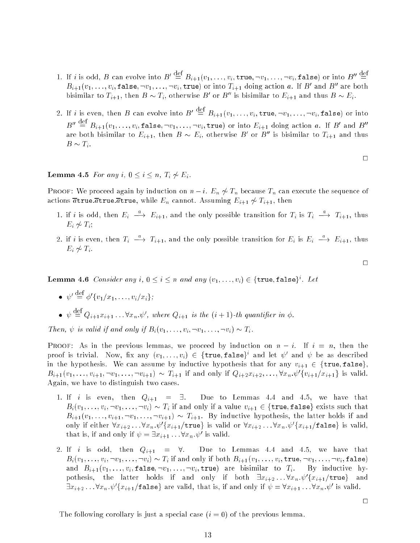- 1. If i is odd, B can evolve into  $B' = B_{i+1}(v_1, \ldots, v_i, \text{true}, \neg v_1, \ldots, \neg v_i, \text{false})$  or into  $B'' =$  $D_{i+1}(v_1,\ldots,v_i,1$  anse,  $\neg v_1,\ldots,\neg v_i,$  true) or into  $T_{i+1}$  doing action  $u.$  If  $D$  and  $D$  are both bisimilar to  $T_{i+1}$ , then  $B \sim T_i$ , otherwise B or B is bisimilar to  $E_{i+1}$  and thus  $B \sim E_i$ .
- 2. If i is even, then B can evolve into  $B' = B_{i+1}(v_1, \ldots, v_i, \text{true}, \neg v_1, \ldots, \neg v_i, \text{false})$  or into  $B'' \equiv B_{i+1}(v_1,\ldots,v_i,\mathtt{false},\neg v_1,\ldots,\neg v_i,\mathtt{true})$  or into  $E_{i+1}$  doing action a. If  $B'$  and  $B''$ are both bisimilar to  $E_{i+1}$ , then  $D \curvearrowright E_i$ , otherwise  $D$  or  $D$  is bisimilar to  $T_{i+1}$  and thus  $B \sim T_i$ .

**Lemma 4.5** For any i,  $0 \le i \le n$ ,  $T_i \nsim E_i$ .

PROOF: We proceed again by induction on  $n - i$ .  $E_n \not\sim T_n$  because  $T_n$  can execute the sequence of actions  $\overline{a}$ true. $\overline{a}$ true. $\overline{a}$ true, while  $E_n$  cannot. Assuming  $E_{i+1} \nsim T_{i+1}$ , then

- 1. if i is odd, then  $E_i \stackrel{a}{\longrightarrow} E_{i+1}$ , and the only possible transition for  $T_i$  is  $T_i \stackrel{a}{\longrightarrow} T_{i+1}$ , thus  $E_i\not\sim T_i;$
- 2. if i is even, then  $T_i \stackrel{a}{\longrightarrow} T_{i+1}$ , and the only possible transition for  $E_i$  is  $E_i \stackrel{a}{\longrightarrow} E_{i+1}$ , thus  $E_i\not\sim T_i.$

Lemma 4.6 Consider any i,  $0\leq i\leq n$  and any  $(v_1,\ldots,v_i)\in\{\mathtt{true},\mathtt{false}\}^i$ . Let

- $\bullet \ \ \psi' \equiv \phi' \{v_1/x_1, \ldots, v_i/x_i\};$
- $\bullet \psi = Q_{i+1}x_{i+1} \ldots \forall x_n \psi'$ , where  $Q_{i+1}$  is the  $(i+1)$ -th quantifier in  $\phi$ .

Then,  $\psi$  is valid if and only if  $B_i (v_1, \ldots, v_i, \neg v_1, \ldots, \neg v_i) \sim T_i$ .

**PROOF:** As in the previous lemmas, we proceed by induction on  $n - i$ . If  $i = n$ , then the proof is trivial. Now, fix any  $(v_1,\ldots,v_i)\in \{\texttt{true},\texttt{false}\}^i$  and let  $\psi'$  and  $\psi$  be as described in the hypothesis. We can assume by inductive hypothesis that for any  $v_{i+1} \in \{\text{true}, \text{false}\},$  $D_{i+1}(v_1,\ldots,v_{i+1},\neg v_1,\ldots,\neg v_{i+1}) \sim I_{i+1}$  if and only if  $Q_{i+2}x_{i+2},\ldots,\forall x_n.\psi$   $\{v_{i+1}/x_{i+1}\}\$  is valid. Again, we have to distinguish two cases.

- 1. If i is even, then  $Q_{i+1} = \exists$ . Due to Lemmas 4.4 and 4.5, we have that  $B_i(v_1,\ldots,v_i,\neg v_1,\ldots,\neg v_i)\sim T_i$  if and only if a value  $v_{i+1}\in\{\mathtt{true},\mathtt{false}\}$  exists such that  $B_{i+1}(v_1,\ldots,v_{i+1},\neg v_1,\ldots,\neg v_{i+1}) \sim T_{i+1}$ . By inductive hypothesis, the latter holds if and only if either  $\forall x_{i+2} \ldots \forall x_n. \psi \nmid x_{i+1}$ /true} is valid or  $\forall x_{i+2} \ldots \forall x_n. \psi \nmid x_{i+1}$ /talse} is valid, that is, if and only if  $\psi = \exists x_{i+1} \dots \forall x_n \ldotp \psi$  is valid.
- 2. If i is odd, then  $Q_{i+1} = \forall$ . Due to Lemmas 4.4 and 4.5, we have that  $B_i(v_1,\ldots,v_i,\neg v_1,\ldots,\neg v_i)\thicksim T_i$  if and only if both  $B_{i+1}(v_1,\ldots,v_i,\mathtt{true},\neg v_1,\ldots,\neg v_i,\mathtt{false})$ and  $B_{i+1}(v_1,\ldots,v_i,\texttt{false},\neg v_1,\ldots,\neg v_i,\texttt{true})$  are bisimilar to  $T_i$ . By inductive hypothesis, the latter holds if and only if both  $\exists x_{i+2} \ldots \forall x_n. \psi \; \{x_{i+1} / \text{true}\}$  and  $\exists x_{i+2} \dots \forall x_n. \psi \exists x_{i+1}$  rafse are valid, that is, if and only if  $\psi = \forall x_{i+1} \dots \forall x_n. \psi$  is valid.

The following corollary is just a special case  $(i = 0)$  of the previous lemma.

 $\Box$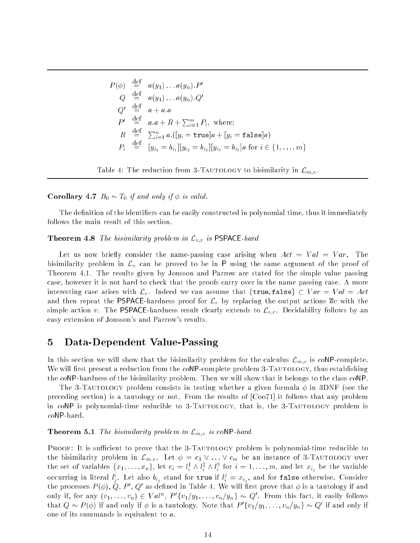$$
P(\phi) \stackrel{\text{def}}{=} a(y_1) \dots a(y_n).P'
$$
  
\n
$$
Q \stackrel{\text{def}}{=} a(y_1) \dots a(y_n).Q'
$$
  
\n
$$
Q' \stackrel{\text{def}}{=} a + a.a
$$
  
\n
$$
P' \stackrel{\text{def}}{=} a.a + R + \sum_{i=1}^{m} P_i, \text{ where:}
$$
  
\n
$$
R \stackrel{\text{def}}{=} \sum_{i=1}^{n} a \cdot ([y_i = \text{true}]a + [y_i = \text{false}]a)
$$
  
\n
$$
P_i \stackrel{\text{def}}{=} [y_{i_1} = b_{i_1}][y_{i_2} = b_{i_2}][y_{i_3} = b_{i_3}]a \text{ for } i \in \{1, \dots, m\}
$$

Table 4: The reduction from 3-TAUTOLOGY to bisimilarity in  $\mathcal{L}_{m,\nu}$ .

**Corollary 4.7**  $B_0 \sim T_0$  if and only if  $\phi$  is valid.

The definition of the identifiers can be easily constructed in polynomial time, thus it immediately follows the main result of this section.

## **Theorem 4.8** The bisimilarity problem in  $\mathcal{L}_{v,r}$  is PSPACE-hard

Let us now briefly consider the name-passing case arising when  $Act = Val = Var$ . The bisimilarity problem in  $\mathcal{L}_v$  can be proved to be in P using the same argument of the proof of Theorem 4.1. The results given by Jonsson and Parrow are stated for the simple value passing case, however it is not hard to check that the proofs carry over in the name passing case. A more interesting case arises with  $\mathcal{L}_r$ . Indeed we can assume that  $\{\text{true}, \text{false}\} \subset Var = Val = Act$ and then repeat the PSPACE-hardness proof for  $\mathcal{L}_r$  by replacing the output actions  $\overline{a}v$  with the simple action v. The PSPACE-hardness result clearly extends to  $\mathcal{L}_{v,r}$ . Decidability follows by an easy extension of Jonsson's and Parrow's results.

## <sup>5</sup> Data-Dependent Value-Passing

In this section we will show that the bisimilarity problem for the calculus  $\mathcal{L}_{m,\nu}$  is coNP-complete. We will first present a reduction from the  $coNP$ -complete problem 3-TAUTOLOGY, thus establishing the coNP-hardness of the bisimilarity problem. Then we will show that it belongs to the class coNP.

The 3-TAUTOLOGY problem consists in testing whether a given formula  $\phi$  in 3DNF (see the preceding section) is a tautology or not. From the results of [Coo71] it follows that any problem in  $coNP$  is polynomial-time reducible to 3-TAUTOLOGY, that is, the 3-TAUTOLOGY problem is coNP-hard.

**Theorem 5.1** The bisimilarity problem in  $\mathcal{L}_{m,\nu}$  is coNP-hard.

PROOF: It is sufficient to prove that the 3-TAUTOLOGY problem is polynomial-time reducible to the bisimilarity problem in  $\mathcal{L}_{m,v}$ . Let  $\phi = c_1 \vee \ldots \vee c_m$  be an instance of 3-TAUTOLOGY over the set of variables  $\{x_1,\ldots,x_n\},$  let  $c_i = l_i^- \wedge l_i^- \wedge l_i^-$  for  $i = 1,\ldots,m,$  and let  $x_{i_j}^-$  be the variable occurring in literal  $l_j^i$ . Let also  $b_{i_j}$  stand for true if  $l_i^j = x_{i_j},$  and for false otherwise. Consider the processes  $F(\varphi)$ ,  $Q$ ,  $F$  ,  $Q$  as defined in Table 4. We will first prove that  $\varphi$  is a tautology if and only if, for any  $(v_1,\ldots,v_n) \in Val^n$ ,  $P'{v_1}{v_1},\ldots,v_n}{y_n} \sim Q'$ . From this fact, it easily follows that  $Q \sim P(\phi)$  if and only if  $\phi$  is a tautology. Note that  $P \nmid \{v_1/y_1, \ldots, v_n/y_n\} \sim Q$  if and only if one of its summands is equivalent to a.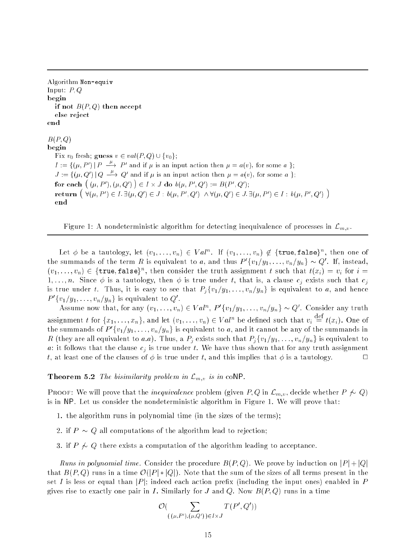Algorithm Non-equiv Input:  $P, Q$ begin if not  $B(P,Q)$  then accept else reject end  $B(P,Q)$ begin Fix  $v_0$  fresh; guess  $v \in val(P, Q) \cup \{v_0\}$ ;  $I := \{(\mu, P') \mid P \stackrel{\sim}{\longrightarrow} P' \text{ and if } \mu \text{ is an input action then } \mu = a(v) \text{, for some } a \}$ ;  $J := \{(u, Q') | Q \longrightarrow Q' \text{ and if } \mu \text{ is an input action then } \mu = a(v) \text{ for some } a \}$ : for each  $((\mu, P), (\mu, Q)) \in I \times J$  do  $(v | \mu, P, Q) \equiv B(P, Q)$ ;  ${\bf return}$  (  $\forall$  )(  $\mu$ ,  $P'$  )  $\in$   $I$  .  $\exists$  )(  $\mu$ ,  $Q'$  )  $\in$   $Q'$  )  $\mu$  ,  $Q'$  )  $\mu$  ,  $Q'$  )  $\mu$  ,  $Q'$  )  $\mu$  ,  $P'$  ,  $Q'$  )  $\mu$  ,  $P'$  ,  $Q'$  ,  $P'$  ,  $Q'$  ,  $P'$  ,  $Q'$  ,  $P'$  ,  $Q'$  ,  $P'$  ,  $Q'$  ,  $P'$  , end

Figure 1: A nondeterministic algorithm for detecting inequivalence of processes in  $\mathcal{L}_{m,v}$ .

Let  $\phi$  be a tautology, let  $(v_1,\ldots,v_n) \in Val^n$ . If  $(v_1,\ldots,v_n) \notin {\texttt{true}},$  false $\}^n$ , then one of the summands of the term  $R$  is equivalent to  $a$ , and thus  $P_1\{v_1/y_1,\ldots,v_n/y_n\}\sim Q$  . It, instead,  $(v_1,\ldots,v_n) \in {\text{true}},$  false $\}^n$ , then consider the truth assignment t such that  $t(x_i) = v_i$  for  $i =$ 1,..., n. Since  $\phi$  is a tautology, then  $\phi$  is true under t, that is, a clause  $c_j$  exists such that  $c_j$ is true under t. Thus, it is easy to see that  $P_j\{v_1/y_1, \ldots, v_n/y_n\}$  is equivalent to a, and hence  $P_1 \{v_1, y_1, \ldots, v_n/y_n\}$  is equivalent to  $Q$ .

Assume now that, for any  $(v_1,\ldots,v_n)\in Val^n$ ,  $P'{v_1}{v_1},\ldots,v_n}{y_n}\sim Q'$ . Consider any truth assignment t for  $\{x_1, \ldots, x_n\}$ , and let  $(v_1, \ldots, v_n) \in Val^n$  be defined such that  $v_i \stackrel{\text{def}}{=} t(x_i)$ . One of the summands of  $P_1\{v_1/y_1,\ldots,v_n/y_n\}$  is equivalent to  $a,$  and it cannot be any of the summands in R (they are all equivalent to a.a). Thus, a  $P_j$  exists such that  $P_j\{v_1/y_1, \ldots, v_n/y_n\}$  is equivalent to a: it follows that the clause  $c_i$  is true under t. We have thus shown that for any truth assignment t, at least one of the clauses of  $\phi$  is true under t, and this implies that  $\phi$  is a tautology.

**Theorem 5.2** The bisimilarity problem in  $\mathcal{L}_{m,v}$  is in coNP.

PROOF: We will prove that the *inequivalence* problem (given P, Q in  $\mathcal{L}_{m,\nu}$ , decide whether  $P \not\sim Q$ ) is in NP. Let us consider the nondeterministic algorithm in Figure 1. We will prove that:

- 1. the algorithm runs in polynomial time (in the sizes of the terms);
- 2. if  $P \sim Q$  all computations of the algorithm lead to rejection;
- 3. if  $P \nmid Q$  there exists a computation of the algorithm leading to acceptance.

*Runs in polynomial time.* Consider the procedure  $B(P,Q)$ . We prove by induction on  $|P|+|Q|$ that  $B(P,Q)$  runs in a time  $\mathcal{O}(|P| * |Q|)$ . Note that the sum of the sizes of all terms present in the set I is less or equal than |P|; indeed each action prefix (including the input ones) enabled in P gives rise to exactly one pair in I. Similarly for J and Q. Now  $B(P,Q)$  runs in a time

$$
\mathcal{O}\big(\sum_{(\mu,P'),(\mu,Q')\in I\times J}T(P',Q')\big)
$$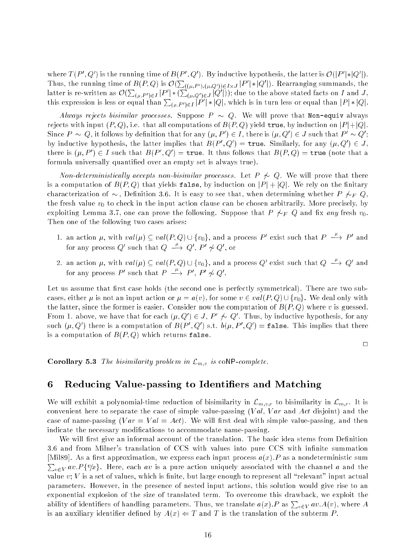where  $T$  (P  $\,$  Q) is the running time of  $D$  (P  $\,$  , Q). By inductive hypothesis, the latter is  $O(|T|$   $*$   $|Q|$  ). Thus, the running time of  $B(P,Q)$  is  $\mathcal{O}(\sum_{((\mu,P'),(\mu,Q'))\in I\times J}|P'|*|Q'|)$ . Rearranging summands, the latter is re-written as  $\mathcal{O}(\sum_{(\mu,P')\in I}|P'|*(\sum_{(\mu,Q')\in J}|Q'|));$  due to the above stated facts on  $I$  and  $J,$  this expression

Always rejects bisimilar processes. Suppose  $P \sim Q$ . We will prove that Non-equiv always rejects with input  $(P, Q)$ , i.e. that all computations of  $B(P, Q)$  yield true, by induction on  $|P|+|Q|$ . SINCE  $P \sim Q$ , it follows by definition that for any  $(\mu, \nu) \in I$ , there is  $(\mu, Q) \in J$  such that  $P \sim Q$  ; by inductive hypothesis, the latter implies that  $B(F, Q) =$  true. Similarly, for any  $(\mu, Q) \in J$ , there is  $(\mu, \nu) \in T$  such that  $D(\nu, Q) =$  true. It thus follows that  $D(\nu, Q) =$  true (note that a formula universally quantied over an empty set is always true).

Non-deterministically accepts non-bisimilar processes. Let  $P \not\sim Q$ . We will prove that there is a computation of  $B(P,Q)$  that yields false, by induction on  $|P|+|Q|$ . We rely on the finitary characterization of  $\sim$ , Definition 3.6. It is easy to see that, when determining whether  $P \not\sim_F Q$ , the fresh value  $v_0$  to check in the input action clause can be chosen arbitrarily. More precisely, by exploiting Lemma 3.7, one can prove the following. Suppose that  $P \nmid F Q$  and fix any fresh  $v_0$ . Then one of the following two cases arises:

- 1. an action  $\mu$ , with  $val(\mu) \subseteq val(P,Q) \cup \{v_0\}$ , and a process P' exist such that  $P \stackrel{\mu}{\longrightarrow} P'$  and for any process  $Q'$  such that  $Q \stackrel{\mu}{\longrightarrow} Q', P' \not\sim Q',$  or
- 2. an action  $\mu$ , with  $val(\mu) \subseteq val(P,Q) \cup \{v_0\}$ , and a process  $Q'$  exist such that  $Q \stackrel{\mu}{\longrightarrow} Q'$  and for any process  $P'$  such that  $P \stackrel{\mu}{\longrightarrow} P', P' \not\sim Q'.$

Let us assume that first case holds (the second one is perfectly symmetrical). There are two subcases, either  $\mu$  is not an input action or  $\mu = a(v)$ , for some  $v \in val(P, Q) \cup \{v_0\}$ . We deal only with the latter, since the former is easier. Consider now the computation of  $B(P,Q)$  where v is guessed. From 1. above, we have that for each  $\{\mu, Q\}\in J$ ,  $I^-\not\sim Q$  . Thus, by inductive hypothesis, for any such  $(\mu, Q$  ) there is a computation of  $B(P_-, Q_+)$  s.t.  $\theta(\mu, P_-, Q_-) = \texttt{false}$ . This implies that there is a computation of  $B(P,Q)$  which returns false.

 $\Box$ 

**Corollary 5.3** The bisimilarity problem in  $\mathcal{L}_{m,v}$  is coNP-complete.

# <sup>6</sup> Reducing Value-passing to Identiers and Matching

We will exhibit a polynomial-time reduction of bisimilarity in  $\mathcal{L}_{m,v,r}$  to bisimilarity in  $\mathcal{L}_{m,r}$ . It is convenient here to separate the case of simple value-passing  $(Val, Var$  and Act disjoint) and the case of name-passing  $(Var = Val = Act)$ . We will first deal with simple value-passing, and then indicate the necessary modifications to accommodate name-passing.

We will first give an informal account of the translation. The basic idea stems from Definition 3.6 and from Milner's translation of CCS with values into pure CCS with infinite summation [Mil89]. As a first approximation, we express each input process  $a(x)$ . P as a nondeterministic sum  $\sum_{v\in V} av.P\{v/x\}$ . Here, each  $av$  is a pure action uniquely associated with the channel  $a$  and the value  $v$ ; V is a set of values, which is finite, but large enough to represent all "relevant" input actual parameters. However, in the presence of nested input actions, this solution would give rise to an exponential explosion of the size of translated term. To overcome this drawback, we exploit the ability of identifiers of handling parameters. Thus, we translate  $a(x).P$  as  $\sum_{v\in V} av.A(v),$  where  $A$ is an auxiliary identifier defined by  $A(x) \leftarrow T$  and T is the translation of the subterm P.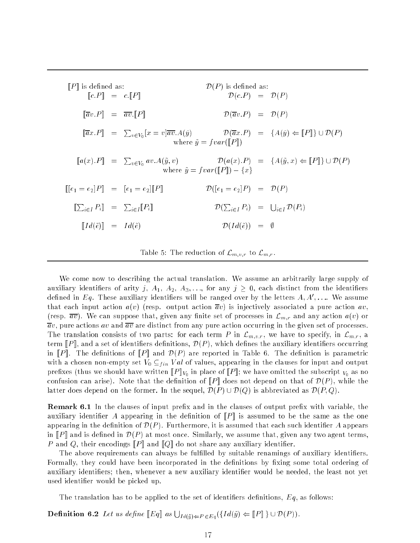| $\llbracket P \rrbracket$ is defined as:<br>$\llbracket c.P \rrbracket = c.\llbracket P \rrbracket$ |                                                                                                                                                                           | $\mathcal{D}(P)$ is defined as:<br>$\mathcal{D}(c.P) = \mathcal{D}(P)$ |  |
|-----------------------------------------------------------------------------------------------------|---------------------------------------------------------------------------------------------------------------------------------------------------------------------------|------------------------------------------------------------------------|--|
| $\left[\overline{a}v.P\right] = \overline{a}\overline{v}.\left\Vert P\right\Vert$                   |                                                                                                                                                                           | $\mathcal{D}(\overline{a}v.P) = \mathcal{D}(P)$                        |  |
|                                                                                                     | $[\![\overline{a}x.P]\!] = \sum_{v \in V_0} [x = v] \overline{a} \overline{v} A(\tilde{y})$ $\mathcal{D}(\overline{a}x.P) = \{A(\tilde{y}) \in [P]\} \cup \mathcal{D}(P)$ |                                                                        |  |
|                                                                                                     |                                                                                                                                                                           | where $\tilde{y} = fvar(\llbracket P \rrbracket)$                      |  |
|                                                                                                     | $[\![a(x).P]\!] = \sum_{v \in V_0} av \cdot A(\tilde{y}, v)$ $\mathcal{D}(a(x).P) = \{A(\tilde{y}, x) \in \llbracket P \rrbracket\} \cup \mathcal{D}(P)$                  | where $\tilde{y} = fvar(\llbracket P \rrbracket) - \{x\}$              |  |
| $[[e_1 = e_2]P] = [e_1 = e_2]$                                                                      |                                                                                                                                                                           | $\mathcal{D}([e_1 = e_2]P) = \mathcal{D}(P)$                           |  |
| $\left\  \sum_{i \in I} P_i \right\  = \sum_{i \in I} \llbracket P_i \rrbracket$                    |                                                                                                                                                                           | $\mathcal{D}(\sum_{i\in I} P_i) = \bigcup_{i\in I} \mathcal{D}(P_i)$   |  |
| $\llbracket Id(\tilde{e}) \rrbracket = Id(\tilde{e})$                                               |                                                                                                                                                                           | $\mathcal{D}(Id(\tilde{e})) = \emptyset$                               |  |
|                                                                                                     |                                                                                                                                                                           |                                                                        |  |

Table 5: The reduction of  $\mathcal{L}_{m,v,r}$  to  $\mathcal{L}_{m,r}$ .

We come now to describing the actual translation. We assume an arbitrarily large supply of auxiliary identifiers of arity j,  $A_1, A_2, A_3, \ldots$ , for any  $j \geq 0$ , each distinct from the identifiers defined in  $Eq.$  These auxiliary identifiers will be ranged over by the letters  $A, A, \ldots$  , we assume that each input action  $a(v)$  (resp. output action  $\overline{a}v$ ) is injectively associated a pure action  $av$ , (resp.  $\overline{av}$ ). We can suppose that, given any finite set of processes in  $\mathcal{L}_{m,r}$  and any action  $a(v)$  or  $\overline{a}v$ , pure actions av and  $\overline{a}\overline{v}$  are distinct from any pure action occurring in the given set of processes. The translation consists of two parts: for each term P in  $\mathcal{L}_{m,v,r}$ , we have to specify, in  $\mathcal{L}_{m,r}$ , a term  $\llbracket P \rrbracket$ , and a set of identifiers definitions,  $\mathcal{D}(P)$ , which defines the auxiliary identifiers occurring in  $\llbracket P \rrbracket$ . The definitions of  $\llbracket P \rrbracket$  and  $\mathcal{D}(P)$  are reported in Table 6. The definition is parametric with a chosen non-empty set  $V_0 \subseteq_{fin} Val$  of values, appearing in the clauses for input and output prenxes (thus we should have written  $\llbracket P \rrbracket V_0$  in place of  $\llbracket P \rrbracket$ ; we have omitted the subscript  $V_0$  as no confusion can arise). Note that the definition of  $\llbracket P \rrbracket$  does not depend on that of  $\mathcal{D}(P)$ , while the latter does depend on the former. In the sequel,  $\mathcal{D}(P) \cup \mathcal{D}(Q)$  is abbreviated as  $\mathcal{D}(P,Q)$ .

**Remark 6.1** In the clauses of input prefix and in the clauses of output prefix with variable, the auxiliary identifier A appearing in the definition of  $\llbracket P \rrbracket$  is assumed to be the same as the one appearing in the definition of  $\mathcal{D}(P)$ . Furthermore, it is assumed that each such identifier A appears in  $\llbracket P \rrbracket$  and is defined in  $\mathcal{D}(P)$  at most once. Similarly, we assume that, given any two agent terms, P and Q, their encodings  $\llbracket P \rrbracket$  and  $\llbracket Q \rrbracket$  do not share any auxiliary identifier.

The above requirements can always be fulfilled by suitable renamings of auxiliary identifiers. Formally, they could have been incorporated in the definitions by fixing some total ordering of auxiliary identiers; then, whenever a new auxiliary identier would be needed, the least not yet used identier would be picked up.

The translation has to be applied to the set of identifiers definitions,  $Eq$ , as follows:

**Definition 6.2** Let us define  $[\![Eq]\!]$  as  $\bigcup_{Id(\tilde{y}) \Leftarrow P \in Eq} (\{Id(\tilde{y}) \Leftarrow [\![P]\!] \} \cup \mathcal{D}(P)).$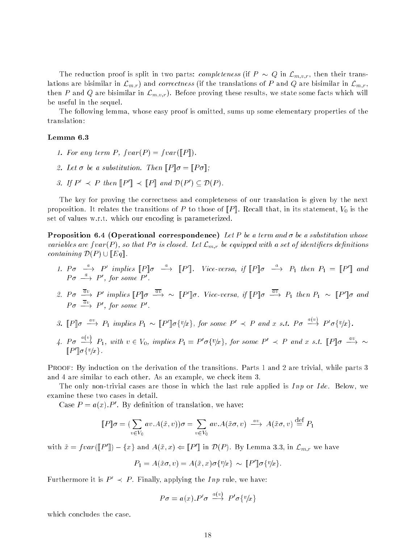The reduction proof is split in two parts: *completeness* (if  $P \sim Q$  in  $\mathcal{L}_{m,v,r}$ , then their translations are bisimilar in  $\mathcal{L}_{m,r}$ ) and correctness (if the translations of P and Q are bisimilar in  $\mathcal{L}_{m,r}$ , then P and Q are bisimilar in  $\mathcal{L}_{m,v,r}$ . Before proving these results, we state some facts which will be useful in the sequel.

The following lemma, whose easy proof is omitted, sums up some elementary properties of the translation:

#### Lemma 6.3

- 1. For any term P,  $fvar(P) = fvar([P])$ .
- 2. Let  $\sigma$  be a substitution. Then  $\llbracket P \rrbracket \sigma = \llbracket P \sigma \rrbracket$ ;
- 3. If  $P \prec P$  then  $||P|| \prec ||P||$  and  $D(F) \subset D(P)$ .

The key for proving the correctness and completeness of our translation is given by the next proposition. It relates the transitions of P to those of  $\llbracket P \rrbracket$ . Recall that, in its statement,  $V_0$  is the set of values w.r.t. which our encoding is parameterized.

**Proposition 6.4 (Operational correspondence)** Let P be a term and  $\sigma$  be a substitution whose variables are fvar(P), so that P $\sigma$  is closed. Let  $\mathcal{L}_{m,r}$  be equipped with a set of identifiers definitions containing  $\mathcal{D}(P) \cup [Eq]$ .

- 1. P $\sigma \xrightarrow{a} P'$  implies  $[P] \sigma \xrightarrow{a} [P']$ . Vice-versa, if  $[P] \sigma \xrightarrow{a} P_1$  then  $P_1 = [P']$  and  $P \sigma \xrightarrow{a} P'$  for some P'.
- 2.  $P\sigma \stackrel{av}{\longrightarrow} P'$  implies  $[P]\sigma \stackrel{av}{\longrightarrow} \sim [P']\sigma$ . Vice-versa, if  $[P]\sigma \stackrel{av}{\longrightarrow} P_1$  then  $P_1 \sim [P']\sigma$  and  $P\sigma \stackrel{av}{\longrightarrow} P'$ , for some P'.
- 3.  $[P]\sigma \stackrel{av}{\longrightarrow} P_1$  implies  $P_1 \sim [P']\sigma\{v/x\}$ , for some  $P' \prec P$  and x s.t.  $P\sigma \stackrel{a(v)}{\longrightarrow} P'\sigma\{v/x\}$ .
- 4.  $P\sigma \stackrel{a(v)}{\longrightarrow} P_1$ , with  $v \in V_0$ , implies  $P_1 = P'\sigma\{v/x\}$ , for some  $P' \prec P$  and x s.t.  $[P]\sigma \stackrel{av}{\longrightarrow} \sim$  $\mathbb{F}$   $\mathbb{F}$   $\mathbb{F}$   $\mathbb{F}$   $\mathbb{F}$   $\mathbb{F}$   $\mathbb{F}$   $\mathbb{F}$   $\mathbb{F}$   $\mathbb{F}$   $\mathbb{F}$   $\mathbb{F}$   $\mathbb{F}$   $\mathbb{F}$   $\mathbb{F}$   $\mathbb{F}$   $\mathbb{F}$   $\mathbb{F}$   $\mathbb{F}$   $\mathbb{F}$   $\mathbb{F}$   $\mathbb{F}$   $\mathbb{F}$   $\mathbb{F}$   $\mathbb{$

PROOF: By induction on the derivation of the transitions. Parts 1 and 2 are trivial, while parts 3 and 4 are similar to each other. As an example, we check item 3.

The only non-trivial cases are those in which the last rule applied is  $Inp$  or  $Ide$ . Below, we examine these two cases in detail.

Case  $F = u(x) \cdot F$  . By definition of translation, we have:

$$
[\![P]\!] \sigma = \left( \sum_{v \in V_0} av \cdot A(\tilde{x}, v) \right) \sigma = \sum_{v \in V_0} av \cdot A(\tilde{x} \sigma, v) \stackrel{av}{\longrightarrow} A(\tilde{x} \sigma, v) \stackrel{\text{def}}{=} P_1
$$

with  $x = \int var(\llbracket P \rrbracket) - \{x\}$  and  $A(x, x) \Leftarrow \llbracket P \rrbracket$  in  $D(P)$ . By Lemma 5.5, in  $\mathcal{L}_{m,r}$  we have

$$
P_1 = A(\tilde{x}\sigma, v) = A(\tilde{x}, x)\sigma\{v/x\} \sim [P']\sigma\{v/x\}.
$$

Furthermore it is  $P' \prec P$ . Finally, applying the Inp rule, we have:

$$
P\sigma = a(x) \cdot P'\sigma \xrightarrow{a(v)} P'\sigma \{v/x\}
$$

which concludes the case.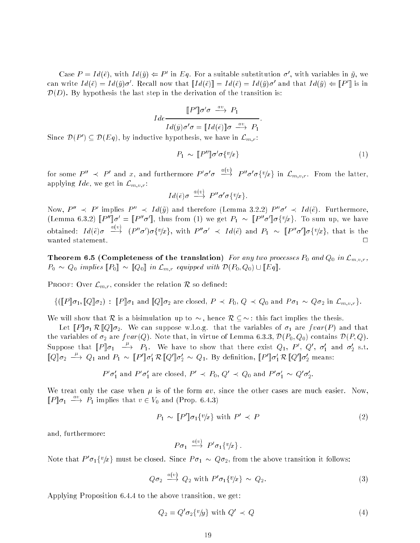Case  $P = I \alpha(e)$ , with  $I \alpha(q) \Leftarrow P$  in Eq. for a suitable substitution  $\sigma$  , with variables in  $q$ , we can write  $Ia(e) \equiv Ia(q)\bar{o}$  . Recall now that  $\|Ia(e)\| \equiv Ia(e) \equiv Ia(q)\bar{o}$  and that  $Ia(q) \Leftarrow \|I\|$  is in  $\mathcal{D}(D)$ . By hypothesis the last step in the derivation of the transition is:

$$
Ide \xrightarrow{\llbracket P' \rrbracket \sigma' \sigma \xrightarrow{av} P_1} Id(\tilde{y})\sigma' \sigma = \llbracket Id(\tilde{e}) \rrbracket \sigma \xrightarrow{av} P_1.
$$

Since  $\mathcal{D}(F) \subseteq \mathcal{D}(Eq)$ , by inductive hypothesis, we have in  $\mathcal{L}_{m,r}$ :

$$
P_1 \sim [P''] \sigma' \sigma \{v/x\} \tag{1}
$$

for some  $P''$   $\prec$   $P'$  and  $x$ , and furthermore  $P'\sigma'\sigma$   $\stackrel{a(v)}{\longrightarrow}$   $P''\sigma'\sigma\{v/x\}$  in  $\mathcal{L}_{m,v,r}.$  From the latter, applying  $I de$ , we get in  $\mathcal{L}_{m,v,r}$ :

$$
Id(\tilde{e})\sigma \stackrel{a(v)}{\longrightarrow} P''\sigma'\sigma\{v/x\}.
$$

NOW,  $P \rightarrow P$  implies  $P \rightarrow I$   $a(y)$  and therefore (Lemma 3.2.2)  $P$  000  $\prec$  1  $a(e)$ . Furthermore, (Lemma 6.5.2)  $||F|||0 = ||F||0||$ , thus from (1) we get  $F_1 \sim ||F||0||6\frac{\gamma}{x}$ . To sum up, we have  $\stackrel{a(v)}{\longrightarrow}$   $(P''\sigma')\sigma\{v/x\}$ , with  $P''\sigma' \prec Id(\tilde{e})$  and  $P_1 \sim [P''\sigma']\sigma\{v/x\}$ , that is the  $\cdots$  is defined to the  $\cdots$  if  $\cdots$  if  $\cdots$  if  $\cdots$ wanted statement.  $\Box$ 

Theorem 6.5 (Completeness of the translation) For any two processes  $P_0$  and  $Q_0$  in  $\mathcal{L}_{m,v,r}$ ,  $P_0 \sim Q_0$  implies  $[[P_0]] \sim [[Q_0]]$  in  $\mathcal{L}_{m,r}$  equipped with  $\mathcal{D}(P_0, Q_0) \cup [[Eq]]$ .

**PROOF:** Over  $\mathcal{L}_{m,r}$ , consider the relation  $\mathcal{R}$  so defined:

$$
\{([\![P]\!] \sigma_1, [\![Q]\!] \sigma_2) : [\![P]\!] \sigma_1 \text{ and } [\![Q]\!] \sigma_2 \text{ are closed, } P \prec P_0, Q \prec Q_0 \text{ and } P \sigma_1 \sim Q \sigma_2 \text{ in } \mathcal{L}_{m,v,r} \}.
$$

We will show that R is a bisimulation up to  $\sim$ , hence  $\mathcal{R} \subset \sim$ : this fact implies the thesis.

Let  $[P]\sigma_1 \mathcal{R} [Q]\sigma_2$ . We can suppose w.l.o.g. that the variables of  $\sigma_1$  are f var(P) and that the variables of  $\sigma_2$  are  $fvar(Q)$ . Note that, in virtue of Lemma 6.3.3,  $\mathcal{D}(P_0, Q_0)$  contains  $\mathcal{D}(P, Q)$ . Suppose that  $[\![P]\!] \sigma_1 \quad \stackrel{\mu}{\longrightarrow} \quad P_1$ . We have to show that there exist  $Q_1, \; P', \; Q', \; \sigma'_1$  and  $\sigma'_2$  s.t.  $\llbracket Q \rrbracket \sigma_2 \stackrel{\mu}{\longrightarrow} Q_1$  and  $P_1 \sim \llbracket P' \rrbracket \sigma_1' \mathrel{\mathcal{R}} \llbracket Q' \rrbracket \sigma_2' \sim Q_1$ . By definition,  $\llbracket P' \rrbracket \sigma_1' \mathrel{\mathcal{R}} \llbracket Q' \rrbracket \sigma_2'$  means:

$$
P'\sigma'_1
$$
 and  $P'\sigma'_1$  are closed,  $P' \prec P_0$ ,  $Q' \prec Q_0$  and  $P'\sigma'_1 \sim Q'\sigma'_2$ .

We treat only the case when  $\mu$  is of the form av, since the other cases are much easier. Now,  $[P]\sigma_1 \stackrel{av}{\longrightarrow} P_1$  implies that  $v \in V_0$  and (Prop. 6.4.3)

$$
P_1 \sim [P'] \sigma_1 \{v/x\} \text{ with } P' \prec P \tag{2}
$$

and, furthermore:

$$
P\sigma_1 \stackrel{a(v)}{\longrightarrow} P'\sigma_1\{v/x\} .
$$

Note that P  $\sigma_1$  {  $\frac{\nu}{x}$  } must be closed. Since P  $\sigma_1 \sim \, Q \sigma_2,$  from the above transition it follows:

$$
Q\sigma_2 \xrightarrow{a(v)} Q_2 \text{ with } P'\sigma_1\{v/x\} \sim Q_2. \tag{3}
$$

Applying Proposition 6.4.4 to the above transition, we get:

$$
Q_2 = Q' \sigma_2 \{ \nu / y \} \text{ with } Q' \prec Q \tag{4}
$$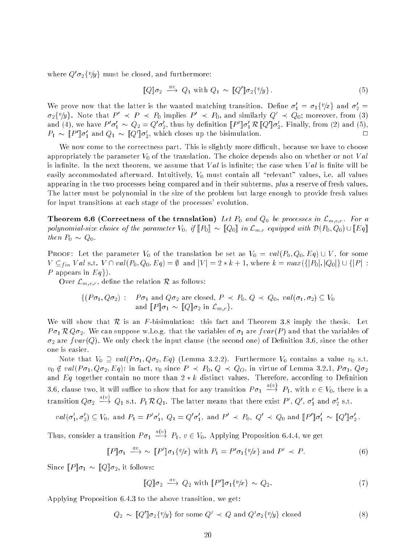where  $Q_0$   $o_2$   $\gamma y$  finust be closed, and furthermore:

$$
\llbracket Q \rrbracket \sigma_2 \xrightarrow{av} Q_1 \text{ with } Q_1 \sim \llbracket Q' \rrbracket \sigma_2 \{v/y\} \,.
$$
 (5)

We prove now that the latter is the wanted matching transition. Define  $\sigma_1 = \sigma_1 \{\gamma x\}$  and  $\sigma_2 =$  $\sigma_2\{v/y\}$ . Note that  $P' \prec P \prec P_0$  implies  $P' \prec P_0$ , and similarly  $Q' \prec Q_0$ ; moreover, from (3) and (4), we have  $P$   $\sigma_1$   $\sim$   $Q_2$   $=$   $Q$   $\sigma_2$ , thus by definition  $\llbracket P \rrbracket \sigma_1$   $\kappa$   $\llbracket Q \rrbracket \sigma_2$  . Finally, from (2) and (5),  $P_1 \sim \llbracket P \rrbracket o_1$  and  $Q_1 \sim \llbracket Q \rrbracket o_2$ , which closes up the bisimulation.

We now come to the correctness part. This is slightly more difficult, because we have to choose appropriately the parameter  $V_0$  of the translation. The choice depends also on whether or not Val is infinite. In the next theorem, we assume that  $Val$  is infinite; the case when  $Val$  is finite will be easily accommodated afterward. Intuitively,  $V_0$  must contain all "relevant" values, i.e. all values appearing in the two processes being compared and in their subterms, *plus* a reserve of fresh values. The latter must be polynomial in the size of the problem but large enough to provide fresh values for input transitions at each stage of the processes' evolution.

Theorem 6.6 (Correctness of the translation) Let  $P_0$  and  $Q_0$  be processes in  $\mathcal{L}_{m,v,r}.$  For a polynomial-size choice of the parameter  $V_0$ , if  $[\![P_0]\!] \sim [\![Q_0]\!]$  in  $\mathcal{L}_{m,r}$  equipped with  $\mathcal{D}(P_0,Q_0) \cup [\![Eq]\!]$ then  $P_0 \sim Q_0$ .

PROOF: Let the parameter  $V_0$  of the translation be set as  $V_0 = val(P_0, Q_0, Eq) \cup V$ , for some  $V \subseteq_{fin} Val$  s.t.  $V \cap val(P_0, Q_0, Eq) = \emptyset$  and  $|V| = 2 * k + 1$ , where  $k = max({\{|P_0|, |Q_0|\}} \cup {\{|P|$ : P appears in  $Eq\rbrace$ ).

Over  $\mathcal{L}_{m,v,r}$ , define the relation  $\mathcal R$  as follows:

$$
\{(P\sigma_1, Q\sigma_2): P\sigma_1 \text{ and } Q\sigma_2 \text{ are closed, } P \prec P_0, Q \prec Q_0, \text{ val}(\sigma_1, \sigma_2) \subseteq V_0 \text{ and } [P]\sigma_1 \sim [Q]\sigma_2 \text{ in } \mathcal{L}_{m,r}\}.
$$

We will show that  $\mathcal R$  is an F-bisimulation: this fact and Theorem 3.8 imply the thesis. Let  $P\sigma_1 \mathcal{R} Q \sigma_2$ . We can suppose w.l.o.g. that the variables of  $\sigma_1$  are  $f var(P)$  and that the variables of  $\sigma_2$  are fvar(Q). We only check the input clause (the second one) of Definition 3.6, since the other one is easier.

Note that  $V_0 \supseteq val(P\sigma_1,Q\sigma_2,Eq)$  (Lemma 3.2.2). Furthermore  $V_0$  contains a value  $v_0$  s.t.  $v_0 \notin val(P\sigma_1, Q\sigma_2, Eq)$ : in fact,  $v_0$  since  $P \prec P_0, Q \prec Q_O$ , in virtue of Lemma 3.2.1,  $P\sigma_1, Q\sigma_2$ and Eq together contain no more than  $2*k$  distinct values. Therefore, according to Definition 3.6, clause two, it will suce to show that for any transition P 1 a t v)  $\blacksquare$  Philadelphia  $\blacksquare$  and  $\blacksquare$  and  $\blacksquare$  and  $\blacksquare$  and  $\blacksquare$  and  $\blacksquare$  and  $\blacksquare$  and  $\blacksquare$ transition Q2  $\stackrel{a(v)}{\longrightarrow} Q_1$  s.t.  $P_1 \mathcal{R} Q_1$ . The latter means that there exist  $P', Q', \sigma'_1$  and  $\sigma'_2$  s.t.

$$
val(\sigma'_1, \sigma'_2) \subseteq V_0, \text{ and } P_1 = P'\sigma'_1, Q_1 = Q'\sigma'_1, \text{ and } P' \prec P_0, Q' \prec Q_0 \text{ and } [P'] \sigma'_1 \sim [Q'] \sigma'_2.
$$

Thus, consider a transition  $\mathcal{X}$  transition  $\mathcal{X}$  transition  $\mathcal{X}$  transition  $\mathcal{X}$ aivi ! P1, v <sup>2</sup> V0. Applying Proposition 6.4.4, we get

$$
[\![P]\!] \sigma_1 \xrightarrow{av} \sim [\![P']\!] \sigma_1 \{ \psi \} \text{ with } P_1 = P' \sigma_1 \{ \psi \} \text{ and } P' \prec P. \tag{6}
$$

Since  $[$ P $]\sigma_1 \sim [$ Q $]\sigma_2$ , it follows:

$$
[\![Q]\!] \sigma_2 \xrightarrow{av} Q_2 \text{ with } [\![P']\!] \sigma_1 \{v/x\} \sim Q_2. \tag{7}
$$

Applying Proposition 6.4.3 to the above transition, we get:

$$
Q_2 \sim [Q'] \sigma_2 \{v/y\} \text{ for some } Q' \prec Q \text{ and } Q' \sigma_2 \{v/y\} \text{ closed}
$$
 (8)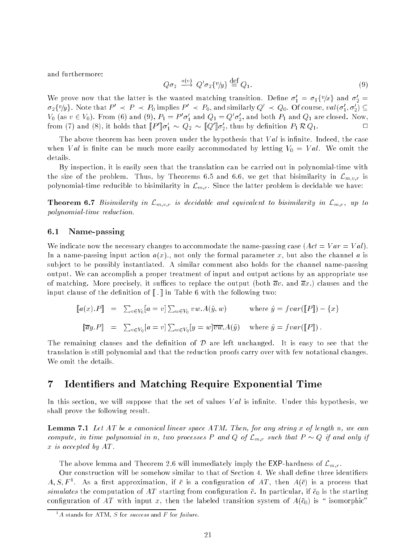and furthermore:

$$
Q\sigma_2 \stackrel{a(v)}{\longrightarrow} Q'\sigma_2\{v/y\} \stackrel{\text{def}}{=} Q_1. \tag{9}
$$

We prove now that the latter is the wanted matching transition. Define  $\sigma_1 = \sigma_1 \{\forall x\}$  and  $\sigma_2 =$  $\sigma_2 \{^\circ \}$  . Note that  $P^+ \prec P \prec P_0$  implies  $P^- \prec P_0$ , and similarly  $Q^+ \prec Q_0.$  Of course,  $val(\sigma_1, \sigma_2) \subseteq$  $v_0$  (as  $v \in v_0$ ). From (6) and (9),  $r_1 = r$   $v_1$  and  $Q_1 = Q$   $v_2$ , and both  $r_1$  and  $Q_1$  are closed. Now, from (1) and (8), it holds that  $\llbracket P \rrbracket^0{}_1 \sim Q_2 \sim \llbracket Q \rrbracket^0{}_2,$  thus by definition  $P_1 \kappa Q_1.$ 

The above theorem has been proven under the hypothesis that  $Val$  is infinite. Indeed, the case when Val is finite can be much more easily accommodated by letting  $V_0 = Val$ . We omit the details.

By inspection, it is easily seen that the translation can be carried out in polynomial-time with the size of the problem. Thus, by Theorems 6.5 and 6.6, we get that bisimilarity in  $\mathcal{L}_{m,v,r}$  is polynomial-time reducible to bisimilarity in  $\mathcal{L}_{m,r}$ . Since the latter problem is decidable we have:

**Theorem 6.7** Bisimilarity in  $\mathcal{L}_{m,v,r}$  is decidable and equivalent to bisimilarity in  $\mathcal{L}_{m,r}$ , up to polynomial-time reduction.

## 6.1 Name-passing

We indicate now the necessary changes to accommodate the name-passing case  $(Act = Var = Val)$ . In a name-passing input action  $a(x)$ , not only the formal parameter x, but also the channel a is sub ject to be possibly instantiated. A similar comment also holds for the channel name-passing output. We can accomplish a proper treatment of input and output actions by an appropriate use of matching. More precisely, it suffices to replace the output (both  $\overline{a}v$ , and  $\overline{a}x$ .) clauses and the input clause of the definition of  $\llbracket \cdot \rrbracket$  in Table 6 with the following two:

$$
\llbracket a(x).P \rrbracket = \sum_{v \in V_0} [a = v] \sum_{w \in V_0} vw.A(\tilde{y}, w) \quad \text{where } \tilde{y} = fvar([\llbracket P \rrbracket) - \{x\} \}
$$

$$
\llbracket \overline{a}y.P \rrbracket = \sum_{v \in V_0} [a = v] \sum_{w \in V_0} [y = w] \overline{vw}.A(\tilde{y}) \quad \text{where } \tilde{y} = fvar([\llbracket P \rrbracket) .
$$

The remaining clauses and the definition of  $\mathcal D$  are left unchanged. It is easy to see that the translation is still polynomial and that the reduction proofs carry over with few notational changes. We omit the details.

# <sup>7</sup> Identiers and Matching Require Exponential Time

In this section, we will suppose that the set of values  $Val$  is infinite. Under this hypothesis, we shall prove the following result.

**Lemma 7.1** Let AT be a canonical linear space ATM. Then, for any string x of length n, we can compute, in time polynomial in n, two processes P and Q of  $\mathcal{L}_{m,r}$  such that  $P \sim Q$  if and only if x is accepted by AT .

The above lemma and Theorem 2.6 will immediately imply the EXP-hardness of  $\mathcal{L}_{m,r}$ .

Our construction will be somehow similar to that of Section 4. We shall define three identifiers  $A, S, I^{\pm}$ . As a first approximation, if c is a configuration of  $AI$  , then  $A(C)$  is a process that simulates the computation of AT starting from configuration  $\bar{c}$ . In particular, if  $\bar{c}_0$  is the starting configuration of AT with input x, then the labeled transition system of  $A(\bar{c}_0)$  is " isomorphic"

 $A<sup>1</sup>A$  stands for ATM, S for success and F for failure.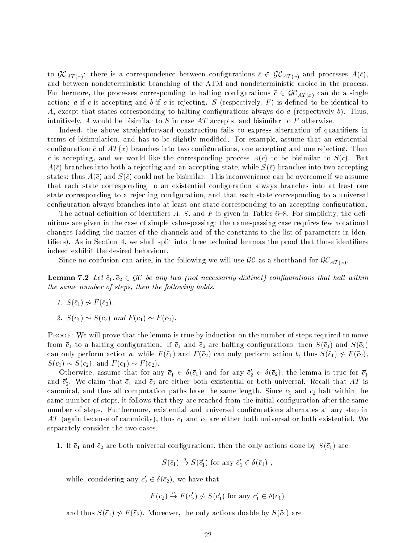to  $\mathcal{GC}_{AT(x)}$ : there is a correspondence between configurations  $\bar{c} \in \mathcal{GC}_{AT(x)}$  and processes  $A(\bar{c})$ , and between nondeterministic branching of the ATM and nondeterministic choice in the process. Furthermore, the processes corresponding to halting configurations  $\bar{c} \in \mathcal{GC}_{AT(x)}$  can do a single action: a if  $\bar{c}$  is accepting and b if  $\bar{c}$  is rejecting. S (respectively, F) is defined to be identical to A, except that states corresponding to halting configurations always do  $\alpha$  (respectively  $\hat{b}$ ). Thus, intuitively, A would be bisimilar to S in case  $AT$  accepts, and bisimilar to F otherwise.

Indeed, the above straightforward construction fails to express alternation of quantifiers in terms of bisimulation, and has to be slightly modified. For example, assume that an existential configuration  $\bar{c}$  of  $AT(x)$  branches into two configurations, one accepting and one rejecting. Then  $\bar{c}$  is accepting, and we would like the corresponding process  $A(\bar{c})$  to be bisimilar to  $S(\bar{c})$ . But  $A(\bar{c})$  branches into both a rejecting and an accepting state, while  $S(\bar{c})$  branches into two accepting states: thus  $A(\bar{c})$  and  $S(\bar{c})$  could not be bisimilar. This inconvenience can be overcome if we assume that each state corresponding to an existential configuration always branches into at least one state corresponding to a rejecting configuration, and that each state corresponding to a universal configuration always branches into at least one state corresponding to an accepting configuration.

The actual definition of identifiers  $A, S$ , and F is given in Tables 6–8. For simplicity, the definitions are given in the case of simple value-passing: the name-passing case requires few notational changes (adding the names of the channels and of the constants to the list of parameters in identifiers). As in Section 4, we shall split into three technical lemmas the proof that those identifiers indeed exhibit the desired behaviour.

Since no confusion can arise, in the following we will use  $\mathcal{GC}$  as a shorthand for  $\mathcal{GC}_{AT(x)}$ .

**Lemma 7.2** Let  $\bar{c}_1, \bar{c}_2 \in \mathcal{GC}$  be any two (not necessarily distinct) configurations that halt within the same number of steps, then the following holds.

- 1.  $S(\bar{c}_1) \nsim F(\bar{c}_2)$ .
- 2.  $S(\bar{c}_1) \sim S(\bar{c}_2)$  and  $F(\bar{c}_1) \sim F(\bar{c}_2)$ .

PROOF: We will prove that the lemma is true by induction on the number of steps required to move from  $\bar{c}_1$  to a halting configuration. If  $\bar{c}_1$  and  $\bar{c}_2$  are halting configurations, then  $S(\bar{c}_1)$  and  $S(\bar{c}_2)$ can only perform action a, while  $F(\bar{c}_1)$  and  $F(\bar{c}_2)$  can only perform action b, thus  $S(\bar{c}_1) \nsim F(\bar{c}_2)$ ,  $S(\bar{c}_1) \sim S(\bar{c}_2)$ , and  $F(\bar{c}_1) \sim F(\bar{c}_2)$ .

Otherwise, assume that for any  $c_1 \in o(c_1)$  and for any  $c_2 \in o(c_2)$ , the lemma is true for  $c_1$ and  $c_2$ . We claim that  $c_1$  and  $c_2$  are either both existential or both universal. Recall that  $\overline{A}I$  is canonical, and thus all computation paths have the same length. Since  $\bar{c}_1$  and  $\bar{c}_2$  halt within the same number of steps, it follows that they are reached from the initial configuration after the same number of steps. Furthermore, existential and universal configurations alternates at any step in AT (again because of canonicity), thus  $\bar{c}_1$  and  $\bar{c}_2$  are either both universal or both existential. We separately consider the two cases.

1. If  $\bar{c}_1$  and  $\bar{c}_2$  are both universal configurations, then the only actions done by  $S(\bar{c}_1)$  are

$$
S(\bar{c}_1) \stackrel{a}{\rightarrow} S(\bar{c}'_1)
$$
 for any  $\bar{c}'_1 \in \delta(\bar{c}_1)$ ,

while, considering any  $c_2 \in \sigma(c_2)$ , we have that

$$
F(\bar{c}_2) \stackrel{a}{\rightarrow} F(\bar{c}'_2) \not\sim S(\bar{c}'_1)
$$
 for any  $\bar{c}'_1 \in \delta(\bar{c}_1)$ 

and thus  $S(\bar{c}_1) \nsim F(\bar{c}_2)$ . Moreover, the only actions doable by  $S(\bar{c}_2)$  are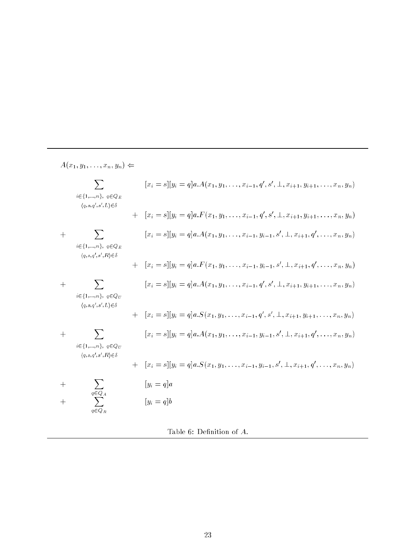$A(x_1, y_1, \ldots, x_n, y_n) \Leftarrow$  $\sum$  $i\in\{1,...,n\},\ q\!\in\!Q_E$  $\langle q, s, q', s', L \rangle \in \delta$  $x_i = s||y_i = q|a.A(x_1, y_1, \ldots, x_{i-1}, q, s, \perp, x_{i+1}, y_{i+1}, \ldots, x_n, y_n)$  $\begin{array}{rcl} + & |x_i = s||y_i = q|a \cdot F(x_1, y_1, \ldots, x_{i-1}, q, s, \perp, x_{i+1}, y_{i+1}, \ldots, x_n, y_n) \end{array}$  $+\qquad\qquad\sum$  $i \in \{1,...,n\},\ q \in Q_E$  $\langle q, s, q', s', R \rangle \in \delta$  $x_i = s||y_i = q|a.A(x_1, y_1, \ldots, x_{i-1}, y_{i-1}, s|, \ldots, x_{i+1}, q|, \ldots, x_n, y_n)$  $\begin{array}{rcl} + & |x_i = s||y_i = q|a \cdot F(x_1, y_1, \ldots, x_{i-1}, y_{i-1}, s, \perp, x_{i+1}, q, \ldots, x_n, y_n], \end{array}$  $+\qquad\qquad\sum$  $i \in \{1,...,n\}, q \in Q_U$  $\langle q, s, q', s', L \rangle \in \delta$  $x_i = s_{\{y_i\}} = q_{\{a \cdot A(x_1, y_1, \ldots, x_{i-1}, q_{\{y_i\}} \ldots, x_{i+1}, y_{i+1}, \ldots, x_n, y_n\}}$  $\begin{array}{rcl} + & |x_i = s||y_i = q | a \ldots s(x_1, y_1, \ldots, x_{i-1}, q, s, \perp, x_{i+1}, y_{i+1}, \ldots, x_n, y_n) \end{array}$  $+\qquad \qquad \sum$  $i\in\{1,...,n\},\ q\!\in\!Q_U$  $\langle q, s, q', s', R \rangle \in \delta$  $x_i = s_{\{y_i\}} = q_{\{a \cdot A(x_1, y_1, \ldots, x_{i-1}, y_{i-1}, s_{i+1}, q_{i+1}, q_{i+1}, \ldots, x_n, y_n\}}$  $\begin{array}{rcl} + & |x_i = s||y_i = q | a . \mathcal{S}(x_1, y_1, \dots, x_{i-1}, y_{i-1}, s, \bot, x_{i+1}, q, \dots, x_n, y_n) \end{array}$  $+$   $\qquad$  $q\!\in\!Q_A$  $[y_i = q]a$  $+$   $\qquad$  $q\!\in\!Q_R$  $[y_i = q]b$ Table 6: Definition of A.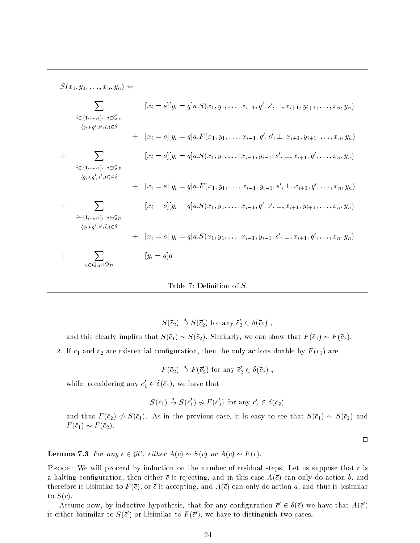$S(x_1, y_1, \ldots, x_n, y_n) \Leftarrow$ 

$$
\sum_{i \in \{1,...,n\}, q \in Q_E} [x_i = s][y_i = q]a.S(x_1, y_1, ..., x_{i-1}, q', s', \perp, x_{i+1}, y_{i+1}, ..., x_n, y_n)
$$
\n
$$
+ [x_i = s][y_i = q]a.F(x_1, y_1, ..., x_{i-1}, q', s', \perp, x_{i+1}, y_{i+1}, ..., x_n, y_n)
$$
\n
$$
+ \sum_{i \in \{1,...,n\}, q \in Q_E} [x_i = s][y_i = q]a.S(x_1, y_1, ..., x_{i-1}, y_{i-1}, s', \perp, x_{i+1}, q', ..., x_n, y_n)
$$
\n
$$
+ [x_i = s][y_i = q]a.F(x_1, y_1, ..., x_{i-1}, y_{i-1}, s', \perp, x_{i+1}, q', ..., x_n, y_n)
$$
\n
$$
+ \sum_{i \in \{1,...,n\}, q \in Q_U} [x_i = s][y_i = q]a.S(x_1, y_1, ..., x_{i-1}, q', s', \perp, x_{i+1}, y_{i+1}, ..., x_n, y_n)
$$
\n
$$
+ [x_i = s][y_i = q]a.S(x_1, y_1, ..., x_{i-1}, y_{i-1}, s', \perp, x_{i+1}, q', ..., x_n, y_n)
$$
\n
$$
+ [x_i = s][y_i = q]a.S(x_1, y_1, ..., x_{i-1}, y_{i-1}, s', \perp, x_{i+1}, q', ..., x_n, y_n)
$$
\n
$$
+ \sum_{q \in Q_A \cup Q_R} [y_i = q]a
$$

Table 7: Definition of 
$$
S
$$

 $S(\bar{c}_2) \stackrel{a}{\rightarrow} S(\bar{c}'_2)$  for any  $\bar{c}'_2 \in \delta(\bar{c}_2)$  ,

and this clearly implies that  $S(\bar{c}_1) \sim S(\bar{c}_2)$ . Similarly, we can show that  $F(\bar{c}_1) \sim F(\bar{c}_2)$ .

2. If  $\bar{c}_1$  and  $\bar{c}_2$  are existential configuration, then the only actions doable by  $F(\bar{c}_1)$  are

$$
F(\bar{c}_2) \stackrel{a}{\rightarrow} F(\bar{c}'_2)
$$
 for any  $\bar{c}'_2 \in \delta(\bar{c}_2)$ ,

while, considering any  $c_1 \in \sigma(c_1)$ , we have that

$$
S(\bar{c}_1) \stackrel{a}{\to} S(\bar{c}'_1) \not\sim F(\bar{c}'_2) \text{ for any } \bar{c}'_2 \in \delta(\bar{c}_2)
$$

and thus  $F(\bar{c}_2) \nsim S(\bar{c}_1)$ . As in the previous case, it is easy to see that  $S(\bar{c}_1) \sim S(\bar{c}_2)$  and  $F(\bar{c}_1) \sim F(\bar{c}_2).$ 

 $\Box$ 

**Lemma 7.3** For any  $\bar{c} \in \mathcal{GC}$ , either  $A(\bar{c}) \sim S(\bar{c})$  or  $A(\bar{c}) \sim F(\bar{c})$ .

**PROOF:** We will proceed by induction on the number of residual steps. Let us suppose that  $\bar{c}$  is a halting configuration, then either  $\bar{c}$  is rejecting, and in this case  $A(\bar{c})$  can only do action b, and therefore is bisimilar to  $F(\bar{c})$ , or  $\bar{c}$  is accepting, and  $A(\bar{c})$  can only do action a, and thus is bisimilar to  $S(\bar{c})$ .

Assume now, by inductive hypothesis, that for any configuration  $c_{\perp} \in o(c)$  we have that  $A(c)$ is either bisimiliar to  $S(\mathcal{C})$  or bisimilar to  $F(\mathcal{C})$ , we have to distinguish two cases.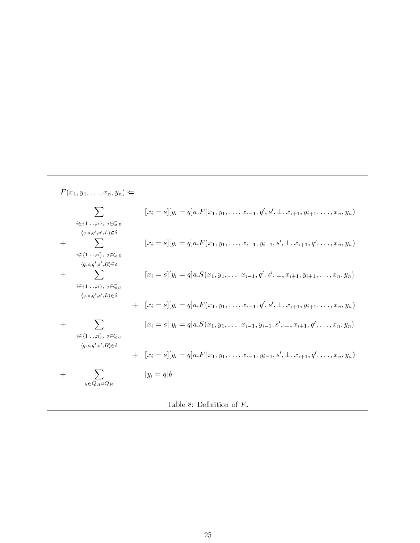$F(x_1, y_1, \ldots, x_n, y_n) \leftarrow$ 

$$
\sum_{i \in \{1, \ldots, n\}, q \in Q_E} [x_i = s][y_i = q]a.F(x_1, y_1, \ldots, x_{i-1}, q', s', \perp, x_{i+1}, y_{i+1}, \ldots, x_n, y_n)
$$
\n
$$
+ \sum_{i \in \{1, \ldots, n\}, q \in Q_E} [x_i = s][y_i = q]a.F(x_1, y_1, \ldots, x_{i-1}, y_{i-1}, s', \perp, x_{i+1}, q', \ldots, x_n, y_n)
$$
\n
$$
+ \sum_{i \in \{1, \ldots, n\}, q \in Q_E} [x_i = s][y_i = q]a.S(x_1, y_1, \ldots, x_{i-1}, q', s', \perp, x_{i+1}, y_{i+1}, \ldots, x_n, y_n)
$$
\n
$$
+ \sum_{i \in \{1, \ldots, n\}, q \in Q_U} [x_i = s][y_i = q]a.S(x_1, y_1, \ldots, x_{i-1}, q', s', \perp, x_{i+1}, y_{i+1}, \ldots, x_n, y_n)
$$
\n
$$
+ \sum_{i \in \{1, \ldots, n\}, q \in Q_U} [x_i = s][y_i = q]a.S(x_1, y_1, \ldots, x_{i-1}, y_{i-1}, s', \perp, x_{i+1}, y', \ldots, x_n, y_n)
$$
\n
$$
+ \sum_{(q, s, q', s', R) \in \delta} [x_i = s][y_i = q]a.S(x_1, y_1, \ldots, x_{i-1}, y_{i-1}, s', \perp, x_{i+1}, q', \ldots, x_n, y_n)
$$
\n
$$
+ \sum_{q \in Q_A \cup Q_R} [y_i = q]b
$$

Table 8: Definition of  $F$ .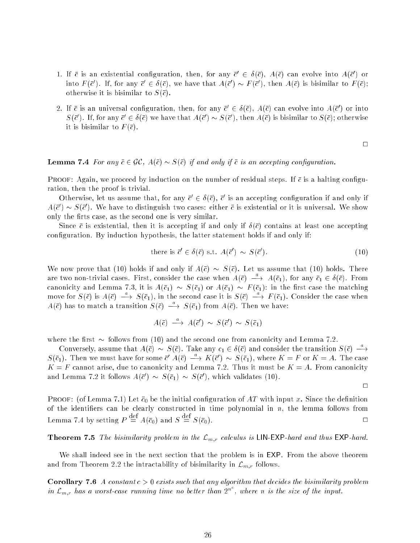- 1. If c is an existential configuration, then, for any  $c_+ \in \sigma(c)$ ,  $A(c)$  can evolve into  $A(c_+)$  or into  $F$  (c). Ii, for any  $c_-\in o(c)$ , we have that  $A(c)\sim F$  (c), then  $A(c)$  is bisimilar to  $F$  (c); otherwise it is bisimilar to  $S(\bar{c})$ .
- 2. If c is an universal configuration, then, for any  $c_+ \in \sigma(c)$ ,  $A(c)$  can evolve into  $A(c_+)$  or into  $\mathcal{S}(\mathcal{C})$  . If, for any  $\mathcal{C} \ \in \mathcal{O}(\mathcal{C})$  we have that  $A(\mathcal{C}) \sim \mathcal{S}(\mathcal{C})$ , then  $A(\mathcal{C})$  is bisimilar to  $\mathcal{S}(\mathcal{C})$ ; otherwise it is bisimilar to  $F(\bar{c})$ .

 $\Box$ 

## **Lemma 7.4** For any  $\bar{c} \in \mathcal{GC}$ ,  $A(\bar{c}) \sim S(\bar{c})$  if and only if  $\bar{c}$  is an accepting configuration.

**PROOF:** Again, we proceed by induction on the number of residual steps. If  $\bar{c}$  is a halting configuration, then the proof is trivial.

Otherwise, let us assume that, for any  $c_0 \in \sigma(c)$ , cois an accepting configuration if and only if  $A(\mathcal{C})\sim \mathcal{O}(\mathcal{C})$  . We have to distinguish two cases: either  $\mathcal{C}$  is existential or it is universal. We show only the firts case, as the second one is very similar.

Since  $\bar{c}$  is existential, then it is accepting if and only if  $\delta(\bar{c})$  contains at least one accepting configuration. By induction hypothesis, the latter statement holds if and only if:

there is 
$$
\vec{c}' \in \delta(\vec{c})
$$
 s.t.  $A(\vec{c}') \sim S(\vec{c}')$ . (10)

We now prove that (10) holds if and only if  $A(\bar{c}) \sim S(\bar{c})$ . Let us assume that (10) holds. There are two non-trivial cases. First, consider the case when  $A(\bar{c}) \ \stackrel{a}{\longrightarrow} A(\bar{c}_1)$ , for any  $\bar{c}_1 \in \delta(\bar{c})$ . From canonicity and Lemma 7.3, it is  $A(\bar{c}_1) \sim S(\bar{c}_1)$  or  $A(\bar{c}_1) \sim F(\bar{c}_1)$ : in the first case the matching move for  $S(\bar{c})$  is  $A(\bar{c}) \stackrel{a}{\longrightarrow} S(\bar{c}_1)$ , in the second case it is  $S(\bar{c}) \stackrel{a}{\longrightarrow} F(\bar{c}_1)$ . Consider the case when  $A(\bar{c})$  has to match a transition  $S(\bar{c}) \stackrel{a}{\longrightarrow} S(\bar{c}_1)$  from  $A(\bar{c})$ . Then we have:

$$
A(\bar{c}) \stackrel{a}{\longrightarrow} A(\bar{c}') \sim S(\bar{c}') \sim S(\bar{c}_1)
$$

where the first  $\sim$  follows from (10) and the second one from canonicity and Lemma 7.2.

Conversely, assume that  $A(\bar{c}) \sim S(\bar{c})$ . Take any  $c_1 \in \delta(\bar{c})$  and consider the transition  $S(\bar{c}) \stackrel{a}{\longrightarrow}$  $S(\bar{c}_1)$ . Then we must have for some  $\bar{c}'$   $A(\bar{c}) \stackrel{a}{\longrightarrow} K(\bar{c}') \sim S(\bar{c}_1)$ , where  $K=F$  or  $K=A.$  The case  $K = F$  cannot arise, due to canonicity and Lemma 7.2. Thus it must be  $K = A$ . From canonicity and Lemma 7.2 it follows  $A(c) \sim S(c_1) \sim S(c)$ , which validates (10).

 $\Box$ 

**PROOF:** (of Lemma 7.1) Let  $\bar{c}_0$  be the initial configuration of AT with input x. Since the definition of the identifiers can be clearly constructed in time polynomial in  $n$ , the lemma follows from  $\Box$ Lemma 7.4 by setting  $P = A(\bar{c}_0)$  and  $S = S(\bar{c}_0)$ .

**Theorem 7.5** The bisimilarity problem in the  $\mathcal{L}_{m,r}$  calculus is LIN-EXP-hard and thus EXP-hard.

We shall indeed see in the next section that the problem is in EXP. From the above theorem and from Theorem 2.2 the intractability of bisimilarity in  $\mathcal{L}_{m,r}$  follows.

**Corollary 7.6** A constant  $c > 0$  exists such that any algorithm that decides the bisimilarity problem in  $\mathcal{L}_{m,r}$  has a worst-case running time no better than  $2^{n^c}$ , where n is the size of the input.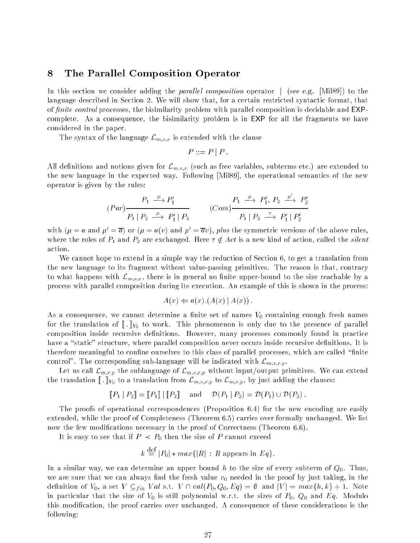## <sup>8</sup> The Parallel Composition Operator

In this section we consider adding the *parallel composition* operator  $\vert$  (see e.g. [Mil89]) to the language described in Section 2. We will show that, for a certain restricted syntactic format, that of finite control processes, the bisimilarity problem with parallel composition is decidable and EXPcomplete. As a consequence, the bisimilarity problem is in EXP for all the fragments we have considered in the paper.

The syntax of the language  $\mathcal{L}_{m,v,r}$  is extended with the clause

$$
P ::= P \mid P.
$$

All definitions and notions given for  $\mathcal{L}_{m,v,r}$  (such as free variables, subterms etc.) are extended to the new language in the expected way. Following [Mil89], the operational semantics of the new operator is given by the rules:

$$
(Par)\frac{P_1 \stackrel{\mu}{\longrightarrow} P_1'}{P_1 \mid P_2 \stackrel{\mu}{\longrightarrow} P_1' \mid P_2} \qquad (Com)\frac{P_1 \stackrel{\mu}{\longrightarrow} P_1', P_2 \stackrel{\mu'}{\longrightarrow} P_2'}{P_1 \mid P_2 \stackrel{\tau}{\longrightarrow} P_1' \mid P_2'}
$$

with  $(\mu = a \text{ and } \mu' = \overline{a})$  or  $(\mu = a(v) \text{ and } \mu' = \overline{a}v)$ , plus the symmetric versions of the above rules, where the roles of  $P_1$  and  $P_2$  are exchanged. Here  $\tau \notin Act$  is a new kind of action, called the *silent* action.

We cannot hope to extend in a simple way the reduction of Section 6, to get a translation from the new language to its fragment without value-passing primitives. The reason is that, contrary to what happens with  $\mathcal{L}_{m,v,r},$  there is in general no finite upper-bound to the size reachable by a process with parallel composition during its execution. An example of this is shown in the process:

$$
A(x) \Leftarrow a(x) \cdot (A(x) | A(x)) \ .
$$

As a consequence, we cannot determine a finite set of names  $V_0$  containing enough fresh names for the translation of  $[\![ . ]\!]_{V_0}$  to work. This phenomenon is only due to the presence of parallel composition inside recursive definitions. However, many processes commonly found in practice have a "static" structure, where parallel composition never occurs inside recursive definitions. It is therefore meaningful to confine ourselves to this class of parallel processes, which are called "finite control". The corresponding sub-language will be indicated with  $\mathcal{L}_{m,v,r,p}$ .

Let us call  $\mathcal{L}_{m,r,p}$  the sublanguage of  $\mathcal{L}_{m,v,r,p}$  without input/output primitives. We can extend the translation  $[\![ . \!]_{V_0}$  to a translation from  $\mathcal{L}_{m,v,r,p}$  to  $\mathcal{L}_{m,r,p}$ , by just adding the clauses:

$$
\llbracket P_1 \mid P_2 \rrbracket = \llbracket P_1 \rrbracket \mid \llbracket P_2 \rrbracket \quad \text{and} \quad \mathcal{D}(P_1 \mid P_2) = \mathcal{D}(P_1) \cup \mathcal{D}(P_2) \ .
$$

The proofs of operational correspondences (Proposition 6.4) for the new encoding are easily extended, while the proof of Completeness (Theorem 6.5) carries over formally unchanged. We list now the few modifications necessary in the proof of Correctness (Theorem 6.6).

It is easy to see that if  $P \prec P_0$  then the size of P cannot exceed

$$
k \stackrel{\text{def}}{=} |P_0| * max\{|R| : R \text{ appears in } Eq\}.
$$

In a similar way, we can determine an upper bound h to the size of every subterm of  $Q_0$ . Thus, we are sure that we can always find the fresh value  $v_0$  needed in the proof by just taking, in the definition of  $V_0$ , a set  $V \subseteq_{fin} Val$  s.t.  $V \cap val(P_0, Q_0, Eq) = \emptyset$  and  $|V| = max\{h, k\} + 1$ . Note in particular that the size of  $V_0$  is still polynomial w.r.t. the sizes of  $P_0$ ,  $Q_0$  and  $Eq$ . Modulo this modication, the proof carries over unchanged. A consequence of these considerations is the following: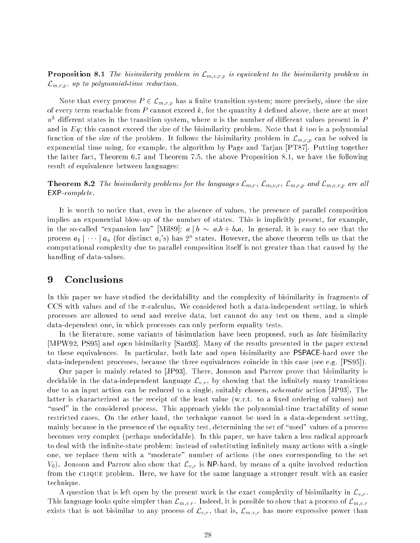**Proposition 8.1** The bisimilarity problem in  $\mathcal{L}_{m,v,r,p}$  is equivalent to the bisimilarity problem in  $\mathcal{L}_{m,r,p}$ , up to polynomial-time reduction.

Note that every process  $P \in \mathcal{L}_{m,r,p}$  has a finite transition system; more precisely, since the size of every term reachable from P cannot exceed  $k$ , for the quantity k defined above, there are at most  $n^k$  different states in the transition system, where  $n$  is the number of different values present in  $P$ and in Eq; this cannot exceed the size of the bisimilarity problem. Note that k too is a polynomial function of the size of the problem. It follows the bisimilarity problem in  $\mathcal{L}_{m,r,p}$  can be solved in exponential time using, for example, the algorithm by Page and Tarjan [PT87]. Putting together the latter fact, Theorem 6.7 and Theorem 7.5, the above Proposition 8.1, we have the following result of equivalence between languages:

**Theorem 8.2** The bisimilarity problems for the languages  $\mathcal{L}_{m,r}$ ,  $\mathcal{L}_{m,v,r}$ ,  $\mathcal{L}_{m,r,p}$  and  $\mathcal{L}_{m,v,r,p}$  are all EXP-complete.

It is worth to notice that, even in the absence of values, the presence of parallel composition implies an exponential blow-up of the number of states. This is implicitly present, for example, in the so-called "expansion law" [Mil89]:  $a | b \sim a.b + b.a$ . In general, it is easy to see that the process  $a_1 | \cdots | a_n$  (for distinct  $a_i$ 's) has  $2^n$  states. However, the above theorem tells us that the computational complexity due to parallel composition itself is not greater than that caused by the handling of data-values.

## <sup>9</sup> Conclusions

In this paper we have studied the decidability and the complexity of bisimilarity in fragments of CCS with values and of the  $\pi$ -calculus. We considered both a data-independent setting, in which processes are allowed to send and receive data, but cannot do any test on them, and a simple data-dependent one, in which processes can only perform equality tests.

In the literature, some variants of bisimulation have been proposed, such as *late* bisimilarity [MPW92, PS95] and *open* bisimilarity [San93]. Many of the results presented in the paper extend to these equivalences. In particular, both late and open bisimilarity are PSPACE-hard over the data-independent processes, because the three equivalences coincide in this case (see e.g. [PS95]).

Our paper is mainly related to [JP93]. There, Jonsson and Parrow prove that bisimilarity is decidable in the data-independent language  $\mathcal{L}_{v,r}$ , by showing that the infinitely many transitions due to an input action can be reduced to a single, suitably chosen, *schematic* action [JP93]. The latter is characterized as the receipt of the least value  $(w.r.t.$  to a fixed ordering of values) not "used" in the considered process. This approach yields the polynomial-time tractability of some restricted cases. On the other hand, the technique cannot be used in a data-dependent setting, mainly because in the presence of the equality test, determining the set of "used" values of a process becomes very complex (perhaps undecidable). In this paper, we have taken a less radical approach to deal with the infinite-state problem: instead of substituting infinitely many actions with a single one, we replace them with a \moderate" number of actions (the ones corresponding to the set  $V_0$ ). Jonsson and Parrow also show that  $\mathcal{L}_{v,r}$  is NP-hard, by means of a quite involved reduction from the clique problem. Here, we have for the same language a stronger result with an easier technique.

A question that is left open by the present work is the exact complexity of bisimilarity in  $\mathcal{L}_{v,r}$ . This language looks quite simpler than  $\mathcal{L}_{m,v,r}$ . Indeed, it is possible to show that a process of  $\mathcal{L}_{m,v,r}$ exists that is not bisimilar to any process of  $\mathcal{L}_{v,r}$ , that is,  $\mathcal{L}_{m,v,r}$  has more expressive power than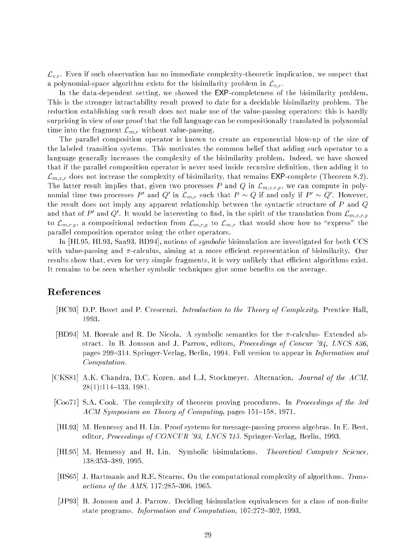$\mathcal{L}_{v,r}$ . Even if such observation has no immediate complexity-theoretic implication, we suspect that a polynomial-space algorithm exists for the bisimilarity problem in  $\mathcal{L}_{v,r}$ .

In the data-dependent setting, we showed the EXP-completeness of the bisimilarity problem. This is the stronger intractability result proved to date for a decidable bisimilarity problem. The reduction establishing such result does not make use of the value-passing operators: this is hardly surprising in view of our proof that the full language can be compositionally translated in polynomial time into the fragment  $\mathcal{L}_{m,r}$  without value-passing.

The parallel composition operator is known to create an exponential blow-up of the size of the labeled transition systems. This motivates the common belief that adding such operator to a language generally increases the complexity of the bisimilarity problem. Indeed, we have showed that if the parallel composition operator is never used inside recursive denition, then adding it to  $\mathcal{L}_{m,v,r}$  does not increase the complexity of bisimilarity, that remains EXP-complete (Theorem 8.2). The latter result implies that, given two processes P and Q in  $\mathcal{L}_{m,v,r,p}$ , we can compute in polynomial time two processes  $P$  and  $Q$  in  ${\cal L}_{m,r}$  such that  $P \sim Q$  if and only if  $P \sim Q$  . However, the result does not imply any apparent relationship between the syntactic structure of  $P$  and  $Q$ and that of  $F$  and  $Q$  . It would be interesting to find, in the spirit of the translation from  ${\cal L}_{m,v,r,p}$ to  $\mathcal{L}_{m,r,p}$ , a compositional reduction from  $\mathcal{L}_{m,r,p}$  to  $\mathcal{L}_{m,r}$  that would show how to "express" the parallel composition operator using the other operators.

In [HL95, HL93, San93, BD94], notions of symbolic bisimulation are investigated for both CCS with value-passing and  $\pi$ -calculus, aiming at a more efficient representation of bisimilarity. Our results show that, even for very simple fragments, it is very unlikely that efficient algorithms exist. It remains to be seen whether symbolic techniques give some benefits on the average.

# References

- [BC93] D.P. Bovet and P. Crescenzi. Introduction to the Theory of Complexity. Prentice Hall, 1993.
- [BD94] M. Boreale and R. De Nicola. A symbolic semantics for the  $\pi$ -calculus- Extended abstract. In B. Jonsson and J. Parrow, editors, Proceedings of Concur '94, LNCS 836, pages 299–314. Springer-Verlag, Berlin, 1994. Full version to appear in *Information and* Computation.
- [CKS81] A.K. Chandra, D.C. Kozen, and L.J. Stockmeyer. Alternation. Journal of the ACM,  $28(1):114-133, 1981.$
- [Coo71] S.A. Cook. The complexity of theorem proving procedures. In Proceedings of the 3rd ACM Symposium on Theory of Computing, pages 151-158, 1971.
- [HL93] M. Hennessy and H. Lin. Proof systems for message-passing process algebras. In E. Best, editor, *Proceedings of CONCUR '93, LNCS '15*. Springer-Verlag, Berlin, 1993.
- [HL95] M. Hennessy and H. Lin. Symbolic bisimulations. Theoretical Computer Science, 138:353-389, 1995.
- [HS65] J. Hartmanis and R.E. Stearns. On the computational complexity of algorithms. Transactions of the  $AMS$ , 117:285-306, 1965.
- [JP93] B. Jonsson and J. Parrow. Deciding bisimulation equivalences for a class of non-finite state programs. Information and Computation,  $107:272{-}302$ , 1993.